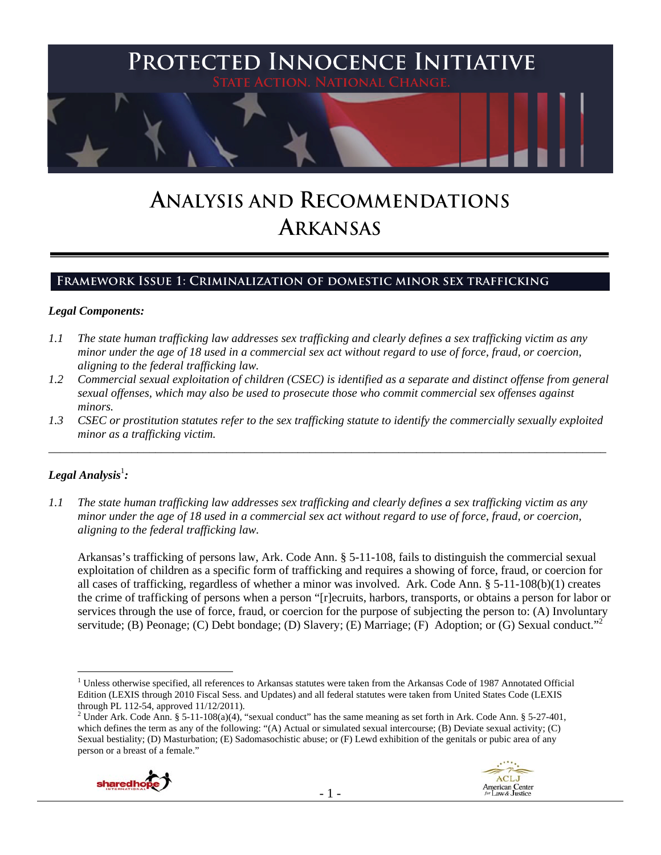

# **ANALYSIS AND RECOMMENDATIONS ARKANSAS**

# **Framework Issue 1: Criminalization of domestic minor sex trafficking**

#### *Legal Components:*

- *1.1 The state human trafficking law addresses sex trafficking and clearly defines a sex trafficking victim as any minor under the age of 18 used in a commercial sex act without regard to use of force, fraud, or coercion, aligning to the federal trafficking law.*
- *1.2 Commercial sexual exploitation of children (CSEC) is identified as a separate and distinct offense from general sexual offenses, which may also be used to prosecute those who commit commercial sex offenses against minors.*
- *1.3 CSEC or prostitution statutes refer to the sex trafficking statute to identify the commercially sexually exploited minor as a trafficking victim.*  \_\_\_\_\_\_\_\_\_\_\_\_\_\_\_\_\_\_\_\_\_\_\_\_\_\_\_\_\_\_\_\_\_\_\_\_\_\_\_\_\_\_\_\_\_\_\_\_\_\_\_\_\_\_\_\_\_\_\_\_\_\_\_\_\_\_\_\_\_\_\_\_\_\_\_\_\_\_\_\_\_\_\_\_\_\_\_\_\_\_\_\_\_\_

# $\bm{\mathit{Legal\, Analysis^{\text{!}}:}}$

 $\overline{a}$ 

*1.1 The state human trafficking law addresses sex trafficking and clearly defines a sex trafficking victim as any minor under the age of 18 used in a commercial sex act without regard to use of force, fraud, or coercion, aligning to the federal trafficking law.*

Arkansas's trafficking of persons law, Ark. Code Ann. § 5-11-108, fails to distinguish the commercial sexual exploitation of children as a specific form of trafficking and requires a showing of force, fraud, or coercion for all cases of trafficking, regardless of whether a minor was involved. Ark. Code Ann. § 5-11-108(b)(1) creates the crime of trafficking of persons when a person "[r]ecruits, harbors, transports, or obtains a person for labor or services through the use of force, fraud, or coercion for the purpose of subjecting the person to: (A) Involuntary servitude; (B) Peonage; (C) Debt bondage; (D) Slavery; (E) Marriage; (F) Adoption; or (G) Sexual conduct."<sup>2</sup>

<sup>&</sup>lt;sup>2</sup> Under Ark. Code Ann. § 5-11-108(a)(4), "sexual conduct" has the same meaning as set forth in Ark. Code Ann. § 5-27-401, which defines the term as any of the following: "(A) Actual or simulated sexual intercourse; (B) Deviate sexual activity; (C) Sexual bestiality; (D) Masturbation; (E) Sadomasochistic abuse; or (F) Lewd exhibition of the genitals or pubic area of any person or a breast of a female."





<sup>&</sup>lt;sup>1</sup> Unless otherwise specified, all references to Arkansas statutes were taken from the Arkansas Code of 1987 Annotated Official Edition (LEXIS through 2010 Fiscal Sess. and Updates) and all federal statutes were taken from United States Code (LEXIS through PL 112-54, approved 11/12/2011).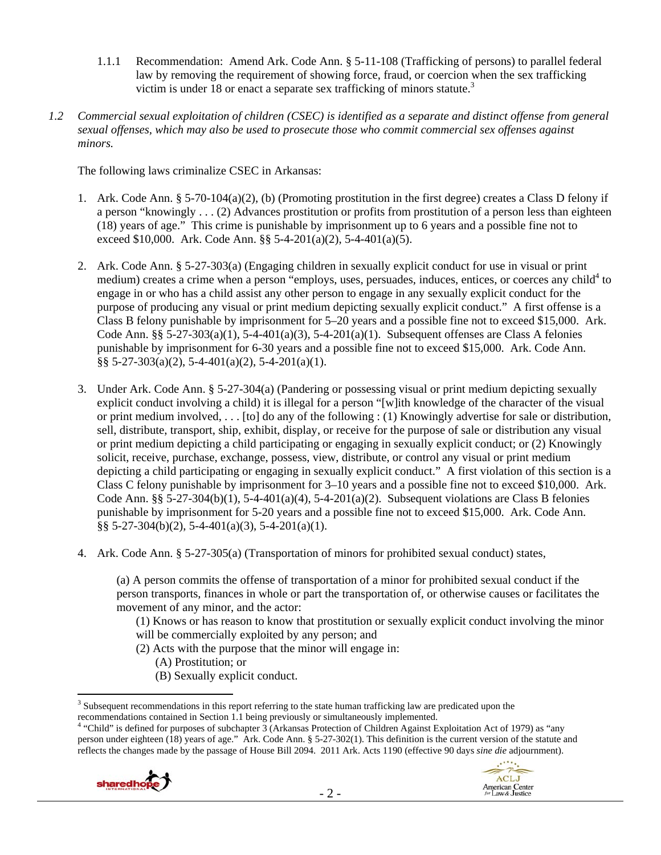- 1.1.1 Recommendation: Amend Ark. Code Ann. § 5-11-108 (Trafficking of persons) to parallel federal law by removing the requirement of showing force, fraud, or coercion when the sex trafficking victim is under 18 or enact a separate sex trafficking of minors statute.<sup>3</sup>
- *1.2 Commercial sexual exploitation of children (CSEC) is identified as a separate and distinct offense from general sexual offenses, which may also be used to prosecute those who commit commercial sex offenses against minors.*

The following laws criminalize CSEC in Arkansas:

- 1. Ark. Code Ann. § 5-70-104(a)(2), (b) (Promoting prostitution in the first degree) creates a Class D felony if a person "knowingly . . . (2) Advances prostitution or profits from prostitution of a person less than eighteen (18) years of age." This crime is punishable by imprisonment up to 6 years and a possible fine not to exceed \$10,000. Ark. Code Ann.  $\S$ § 5-4-201(a)(2), 5-4-401(a)(5).
- 2. Ark. Code Ann. § 5-27-303(a) (Engaging children in sexually explicit conduct for use in visual or print medium) creates a crime when a person "employs, uses, persuades, induces, entices, or coerces any child<sup>4</sup> to engage in or who has a child assist any other person to engage in any sexually explicit conduct for the purpose of producing any visual or print medium depicting sexually explicit conduct." A first offense is a Class B felony punishable by imprisonment for 5–20 years and a possible fine not to exceed \$15,000. Ark. Code Ann. §§ 5-27-303(a)(1), 5-4-401(a)(3), 5-4-201(a)(1). Subsequent offenses are Class A felonies punishable by imprisonment for 6-30 years and a possible fine not to exceed \$15,000. Ark. Code Ann. §§ 5-27-303(a)(2), 5-4-401(a)(2), 5-4-201(a)(1).
- 3. Under Ark. Code Ann. § 5-27-304(a) (Pandering or possessing visual or print medium depicting sexually explicit conduct involving a child) it is illegal for a person "[w]ith knowledge of the character of the visual or print medium involved, . . . [to] do any of the following : (1) Knowingly advertise for sale or distribution, sell, distribute, transport, ship, exhibit, display, or receive for the purpose of sale or distribution any visual or print medium depicting a child participating or engaging in sexually explicit conduct; or (2) Knowingly solicit, receive, purchase, exchange, possess, view, distribute, or control any visual or print medium depicting a child participating or engaging in sexually explicit conduct." A first violation of this section is a Class C felony punishable by imprisonment for 3–10 years and a possible fine not to exceed \$10,000. Ark. Code Ann. §§ 5-27-304(b)(1), 5-4-401(a)(4), 5-4-201(a)(2). Subsequent violations are Class B felonies punishable by imprisonment for 5-20 years and a possible fine not to exceed \$15,000. Ark. Code Ann. §§ 5-27-304(b)(2), 5-4-401(a)(3), 5-4-201(a)(1).
- 4. Ark. Code Ann. § 5-27-305(a) (Transportation of minors for prohibited sexual conduct) states,

(a) A person commits the offense of transportation of a minor for prohibited sexual conduct if the person transports, finances in whole or part the transportation of, or otherwise causes or facilitates the movement of any minor, and the actor:

(1) Knows or has reason to know that prostitution or sexually explicit conduct involving the minor will be commercially exploited by any person; and

- (2) Acts with the purpose that the minor will engage in:
	- (A) Prostitution; or
	- (B) Sexually explicit conduct.

<sup>&</sup>lt;sup>4</sup> "Child" is defined for purposes of subchapter 3 (Arkansas Protection of Children Against Exploitation Act of 1979) as "any person under eighteen (18) years of age." Ark. Code Ann. § 5-27-302(1). This definition is the current version of the statute and reflects the changes made by the passage of House Bill 2094. 2011 Ark. Acts 1190 (effective 90 days *sine die* adjournment).



<sup>&</sup>lt;sup>3</sup> Subsequent recommendations in this report referring to the state human trafficking law are predicated upon the recommendations contained in Section 1.1 being previously or simultaneously implemented. 4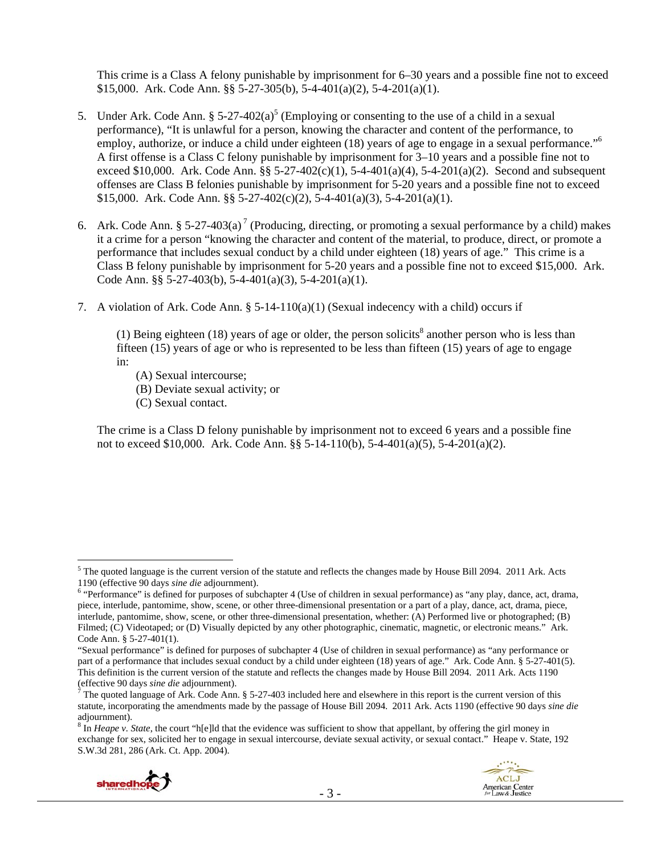This crime is a Class A felony punishable by imprisonment for 6–30 years and a possible fine not to exceed \$15,000. Ark. Code Ann. §§ 5-27-305(b), 5-4-401(a)(2), 5-4-201(a)(1).

- 5. Under Ark. Code Ann.  $\S 5{\text -}27{\text -}402(a)^5$  (Employing or consenting to the use of a child in a sexual performance), "It is unlawful for a person, knowing the character and content of the performance, to employ, authorize, or induce a child under eighteen (18) years of age to engage in a sexual performance."<sup>6</sup> A first offense is a Class C felony punishable by imprisonment for 3–10 years and a possible fine not to exceed \$10,000. Ark. Code Ann.  $\S$ § 5-27-402(c)(1), 5-4-401(a)(4), 5-4-201(a)(2). Second and subsequent offenses are Class B felonies punishable by imprisonment for 5-20 years and a possible fine not to exceed \$15,000. Ark. Code Ann. §§ 5-27-402(c)(2), 5-4-401(a)(3), 5-4-201(a)(1).
- 6. Ark. Code Ann. § 5-27-403(a)<sup>7</sup> (Producing, directing, or promoting a sexual performance by a child) makes it a crime for a person "knowing the character and content of the material, to produce, direct, or promote a performance that includes sexual conduct by a child under eighteen (18) years of age." This crime is a Class B felony punishable by imprisonment for 5-20 years and a possible fine not to exceed \$15,000. Ark. Code Ann. §§ 5-27-403(b), 5-4-401(a)(3), 5-4-201(a)(1).
- 7. A violation of Ark. Code Ann.  $\S 5{\text -}14{\text -}110(a)(1)$  (Sexual indecency with a child) occurs if

(1) Being eighteen (18) years of age or older, the person solicits<sup>8</sup> another person who is less than fifteen (15) years of age or who is represented to be less than fifteen (15) years of age to engage in:

- (A) Sexual intercourse;
- (B) Deviate sexual activity; or
- (C) Sexual contact.

The crime is a Class D felony punishable by imprisonment not to exceed 6 years and a possible fine not to exceed \$10,000. Ark. Code Ann. §§ 5-14-110(b), 5-4-401(a)(5), 5-4-201(a)(2).

<sup>&</sup>lt;sup>8</sup> In *Heape v. State*, the court "h[e]ld that the evidence was sufficient to show that appellant, by offering the girl money in exchange for sex, solicited her to engage in sexual intercourse, deviate sexual activity, or sexual contact." Heape v. State, 192 S.W.3d 281, 286 (Ark. Ct. App. 2004).





 $5$  The quoted language is the current version of the statute and reflects the changes made by House Bill 2094. 2011 Ark. Acts 1190 (effective 90 days *sine die* adjournment). 6

<sup>&</sup>lt;sup>6</sup> "Performance" is defined for purposes of subchapter 4 (Use of children in sexual performance) as "any play, dance, act, drama, piece, interlude, pantomime, show, scene, or other three-dimensional presentation or a part of a play, dance, act, drama, piece, interlude, pantomime, show, scene, or other three-dimensional presentation, whether: (A) Performed live or photographed; (B) Filmed; (C) Videotaped; or (D) Visually depicted by any other photographic, cinematic, magnetic, or electronic means." Ark. Code Ann. § 5-27-401(1).

<sup>&</sup>quot;Sexual performance" is defined for purposes of subchapter 4 (Use of children in sexual performance) as "any performance or part of a performance that includes sexual conduct by a child under eighteen (18) years of age." Ark. Code Ann. § 5-27-401(5). This definition is the current version of the statute and reflects the changes made by House Bill 2094. 2011 Ark. Acts 1190 (effective 90 days *sine die* adjournment). 7

 $\hat{f}$  The quoted language of Ark. Code Ann. § 5-27-403 included here and elsewhere in this report is the current version of this statute, incorporating the amendments made by the passage of House Bill 2094. 2011 Ark. Acts 1190 (effective 90 days *sine die* adjournment).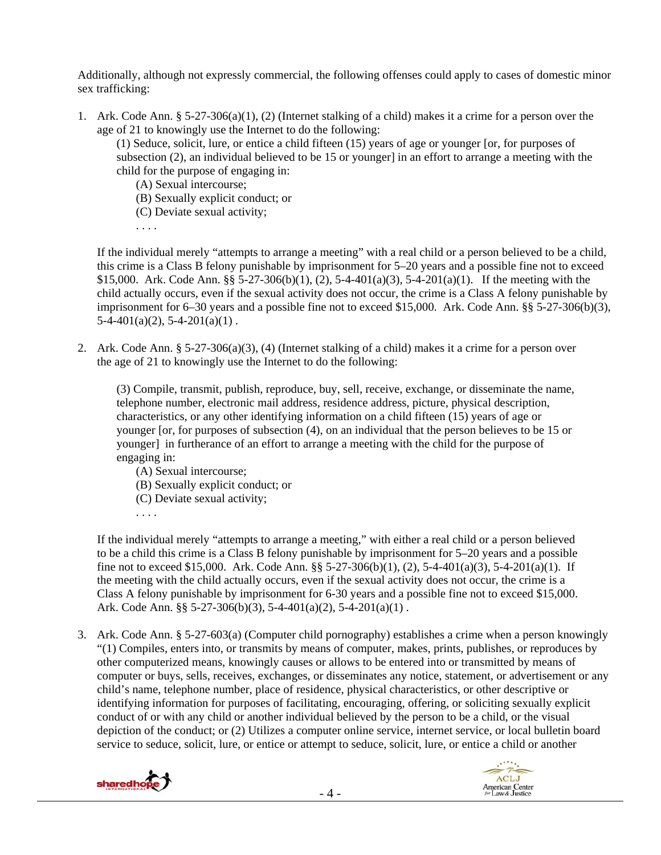Additionally, although not expressly commercial, the following offenses could apply to cases of domestic minor sex trafficking:

1. Ark. Code Ann. § 5-27-306(a)(1), (2) (Internet stalking of a child) makes it a crime for a person over the age of 21 to knowingly use the Internet to do the following:

(1) Seduce, solicit, lure, or entice a child fifteen (15) years of age or younger [or, for purposes of subsection (2), an individual believed to be 15 or younger] in an effort to arrange a meeting with the child for the purpose of engaging in:

(A) Sexual intercourse;

(B) Sexually explicit conduct; or

(C) Deviate sexual activity;

. . . .

If the individual merely "attempts to arrange a meeting" with a real child or a person believed to be a child, this crime is a Class B felony punishable by imprisonment for 5–20 years and a possible fine not to exceed \$15,000. Ark. Code Ann. §§ 5-27-306(b)(1), (2), 5-4-401(a)(3), 5-4-201(a)(1). If the meeting with the child actually occurs, even if the sexual activity does not occur, the crime is a Class A felony punishable by imprisonment for 6–30 years and a possible fine not to exceed \$15,000. Ark. Code Ann. §§ 5-27-306(b)(3),  $5-4-401(a)(2)$ ,  $5-4-201(a)(1)$ .

2. Ark. Code Ann. § 5-27-306(a)(3), (4) (Internet stalking of a child) makes it a crime for a person over the age of 21 to knowingly use the Internet to do the following:

(3) Compile, transmit, publish, reproduce, buy, sell, receive, exchange, or disseminate the name, telephone number, electronic mail address, residence address, picture, physical description, characteristics, or any other identifying information on a child fifteen (15) years of age or younger [or, for purposes of subsection (4), on an individual that the person believes to be 15 or younger] in furtherance of an effort to arrange a meeting with the child for the purpose of engaging in:

- (A) Sexual intercourse;
- (B) Sexually explicit conduct; or
- (C) Deviate sexual activity;
- . . . .

If the individual merely "attempts to arrange a meeting," with either a real child or a person believed to be a child this crime is a Class B felony punishable by imprisonment for 5–20 years and a possible fine not to exceed \$15,000. Ark. Code Ann. §§ 5-27-306(b)(1), (2), 5-4-401(a)(3), 5-4-201(a)(1). If the meeting with the child actually occurs, even if the sexual activity does not occur, the crime is a Class A felony punishable by imprisonment for 6-30 years and a possible fine not to exceed \$15,000. Ark. Code Ann. §§ 5-27-306(b)(3), 5-4-401(a)(2), 5-4-201(a)(1) .

3. Ark. Code Ann. § 5-27-603(a) (Computer child pornography) establishes a crime when a person knowingly "(1) Compiles, enters into, or transmits by means of computer, makes, prints, publishes, or reproduces by other computerized means, knowingly causes or allows to be entered into or transmitted by means of computer or buys, sells, receives, exchanges, or disseminates any notice, statement, or advertisement or any child's name, telephone number, place of residence, physical characteristics, or other descriptive or identifying information for purposes of facilitating, encouraging, offering, or soliciting sexually explicit conduct of or with any child or another individual believed by the person to be a child, or the visual depiction of the conduct; or (2) Utilizes a computer online service, internet service, or local bulletin board service to seduce, solicit, lure, or entice or attempt to seduce, solicit, lure, or entice a child or another



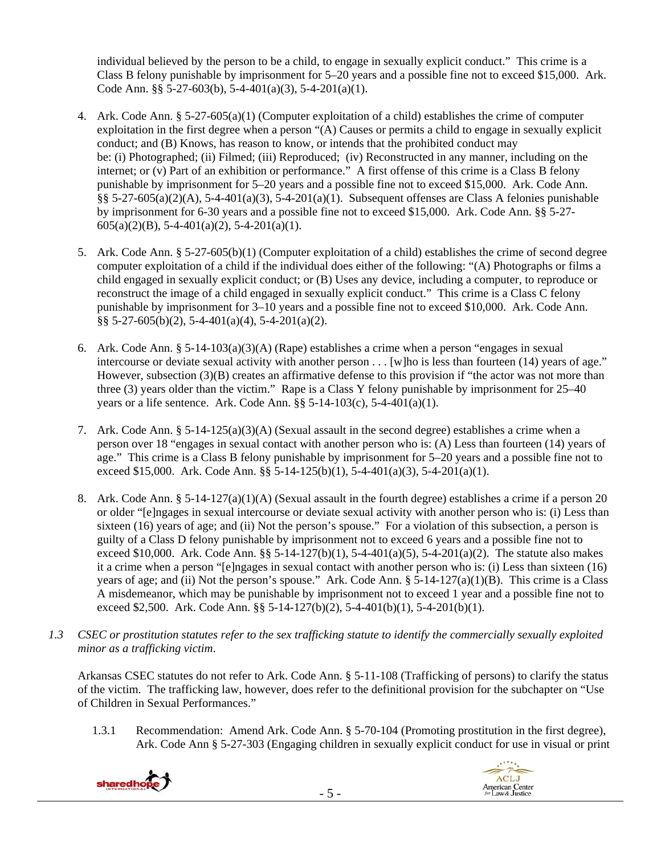individual believed by the person to be a child, to engage in sexually explicit conduct." This crime is a Class B felony punishable by imprisonment for 5–20 years and a possible fine not to exceed \$15,000. Ark. Code Ann. §§ 5-27-603(b), 5-4-401(a)(3), 5-4-201(a)(1).

- 4. Ark. Code Ann. § 5-27-605(a)(1) (Computer exploitation of a child) establishes the crime of computer exploitation in the first degree when a person "(A) Causes or permits a child to engage in sexually explicit conduct; and (B) Knows, has reason to know, or intends that the prohibited conduct may be: (i) Photographed; (ii) Filmed; (iii) Reproduced; (iv) Reconstructed in any manner, including on the internet; or (v) Part of an exhibition or performance." A first offense of this crime is a Class B felony punishable by imprisonment for 5–20 years and a possible fine not to exceed \$15,000. Ark. Code Ann. §§ 5-27-605(a)(2)(A), 5-4-401(a)(3), 5-4-201(a)(1). Subsequent offenses are Class A felonies punishable by imprisonment for 6-30 years and a possible fine not to exceed \$15,000. Ark. Code Ann. §§ 5-27-  $605(a)(2)(B)$ , 5-4-401(a)(2), 5-4-201(a)(1).
- 5. Ark. Code Ann. § 5-27-605(b)(1) (Computer exploitation of a child) establishes the crime of second degree computer exploitation of a child if the individual does either of the following: "(A) Photographs or films a child engaged in sexually explicit conduct; or (B) Uses any device, including a computer, to reproduce or reconstruct the image of a child engaged in sexually explicit conduct." This crime is a Class C felony punishable by imprisonment for 3–10 years and a possible fine not to exceed \$10,000. Ark. Code Ann. §§ 5-27-605(b)(2), 5-4-401(a)(4), 5-4-201(a)(2).
- 6. Ark. Code Ann. § 5-14-103(a)(3)(A) (Rape) establishes a crime when a person "engages in sexual intercourse or deviate sexual activity with another person . . . [w]ho is less than fourteen (14) years of age." However, subsection (3)(B) creates an affirmative defense to this provision if "the actor was not more than three (3) years older than the victim." Rape is a Class Y felony punishable by imprisonment for 25–40 years or a life sentence. Ark. Code Ann.  $\S$ § 5-14-103(c), 5-4-401(a)(1).
- 7. Ark. Code Ann.  $\S 5{\text -}14{\text -}125(a)(3)(A)$  (Sexual assault in the second degree) establishes a crime when a person over 18 "engages in sexual contact with another person who is: (A) Less than fourteen (14) years of age." This crime is a Class B felony punishable by imprisonment for 5–20 years and a possible fine not to exceed \$15,000. Ark. Code Ann. §§ 5-14-125(b)(1), 5-4-401(a)(3), 5-4-201(a)(1).
- 8. Ark. Code Ann. § 5-14-127(a)(1)(A) (Sexual assault in the fourth degree) establishes a crime if a person 20 or older "[e]ngages in sexual intercourse or deviate sexual activity with another person who is: (i) Less than sixteen (16) years of age; and (ii) Not the person's spouse." For a violation of this subsection, a person is guilty of a Class D felony punishable by imprisonment not to exceed 6 years and a possible fine not to exceed \$10,000. Ark. Code Ann. §§ 5-14-127(b)(1), 5-4-401(a)(5), 5-4-201(a)(2). The statute also makes it a crime when a person "[e]ngages in sexual contact with another person who is: (i) Less than sixteen (16) years of age; and (ii) Not the person's spouse." Ark. Code Ann.  $\S$  5-14-127(a)(1)(B). This crime is a Class A misdemeanor, which may be punishable by imprisonment not to exceed 1 year and a possible fine not to exceed \$2,500. Ark. Code Ann.  $\S$ § 5-14-127(b)(2), 5-4-401(b)(1), 5-4-201(b)(1).
- *1.3 CSEC or prostitution statutes refer to the sex trafficking statute to identify the commercially sexually exploited minor as a trafficking victim*.

Arkansas CSEC statutes do not refer to Ark. Code Ann. § 5-11-108 (Trafficking of persons) to clarify the status of the victim. The trafficking law, however, does refer to the definitional provision for the subchapter on "Use of Children in Sexual Performances."

1.3.1 Recommendation: Amend Ark. Code Ann. § 5-70-104 (Promoting prostitution in the first degree), Ark. Code Ann § 5-27-303 (Engaging children in sexually explicit conduct for use in visual or print



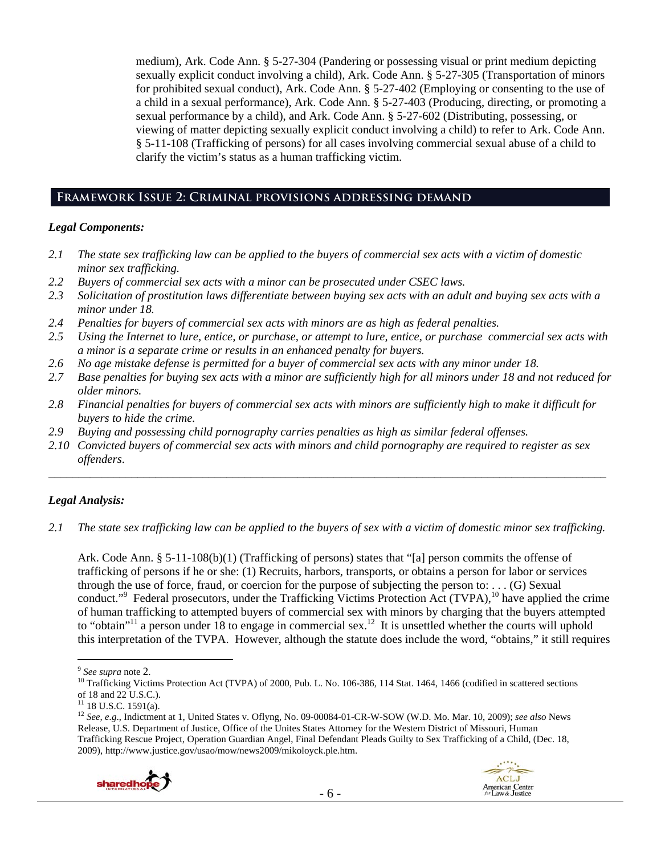medium), Ark. Code Ann. § 5-27-304 (Pandering or possessing visual or print medium depicting sexually explicit conduct involving a child), Ark. Code Ann. § 5-27-305 (Transportation of minors for prohibited sexual conduct), Ark. Code Ann. § 5-27-402 (Employing or consenting to the use of a child in a sexual performance), Ark. Code Ann. § 5-27-403 (Producing, directing, or promoting a sexual performance by a child), and Ark. Code Ann. § 5-27-602 (Distributing, possessing, or viewing of matter depicting sexually explicit conduct involving a child) to refer to Ark. Code Ann. § 5-11-108 (Trafficking of persons) for all cases involving commercial sexual abuse of a child to clarify the victim's status as a human trafficking victim.

## **Framework Issue 2: Criminal provisions addressing demand**

#### *Legal Components:*

- *2.1 The state sex trafficking law can be applied to the buyers of commercial sex acts with a victim of domestic minor sex trafficking.*
- *2.2 Buyers of commercial sex acts with a minor can be prosecuted under CSEC laws.*
- *2.3 Solicitation of prostitution laws differentiate between buying sex acts with an adult and buying sex acts with a minor under 18.*
- *2.4 Penalties for buyers of commercial sex acts with minors are as high as federal penalties.*
- *2.5 Using the Internet to lure, entice, or purchase, or attempt to lure, entice, or purchase commercial sex acts with a minor is a separate crime or results in an enhanced penalty for buyers.*
- *2.6 No age mistake defense is permitted for a buyer of commercial sex acts with any minor under 18.*
- *2.7 Base penalties for buying sex acts with a minor are sufficiently high for all minors under 18 and not reduced for older minors.*
- *2.8 Financial penalties for buyers of commercial sex acts with minors are sufficiently high to make it difficult for buyers to hide the crime.*
- *2.9 Buying and possessing child pornography carries penalties as high as similar federal offenses.*
- *2.10 Convicted buyers of commercial sex acts with minors and child pornography are required to register as sex offenders*.

# *Legal Analysis:*

*2.1 The state sex trafficking law can be applied to the buyers of sex with a victim of domestic minor sex trafficking.*

\_\_\_\_\_\_\_\_\_\_\_\_\_\_\_\_\_\_\_\_\_\_\_\_\_\_\_\_\_\_\_\_\_\_\_\_\_\_\_\_\_\_\_\_\_\_\_\_\_\_\_\_\_\_\_\_\_\_\_\_\_\_\_\_\_\_\_\_\_\_\_\_\_\_\_\_\_\_\_\_\_\_\_\_\_\_\_\_\_\_\_\_\_\_

Ark. Code Ann. § 5-11-108(b)(1) (Trafficking of persons) states that "[a] person commits the offense of trafficking of persons if he or she: (1) Recruits, harbors, transports, or obtains a person for labor or services through the use of force, fraud, or coercion for the purpose of subjecting the person to: . . . (G) Sexual conduct."<sup>9</sup> Federal prosecutors, under the Trafficking Victims Protection Act (TVPA),<sup>10</sup> have applied the crime of human trafficking to attempted buyers of commercial sex with minors by charging that the buyers attempted to "obtain"<sup>11</sup> a person under 18 to engage in commercial sex.<sup>12</sup> It is unsettled whether the courts will uphold this interpretation of the TVPA. However, although the statute does include the word, "obtains," it still requires

<sup>12</sup> *See, e.g*., Indictment at 1, United States v. Oflyng, No. 09-00084-01-CR-W-SOW (W.D. Mo. Mar. 10, 2009); *see also* News Release, U.S. Department of Justice, Office of the Unites States Attorney for the Western District of Missouri, Human Trafficking Rescue Project, Operation Guardian Angel, Final Defendant Pleads Guilty to Sex Trafficking of a Child, (Dec. 18, 2009), http://www.justice.gov/usao/mow/news2009/mikoloyck.ple.htm.



<sup>&</sup>lt;sup>9</sup> See supra note 2.<br><sup>10</sup> Trafficking Victims Protection Act (TVPA) of 2000, Pub. L. No. 106-386, 114 Stat. 1464, 1466 (codified in scattered sections of 18 and 22 U.S.C.).

 $11$  18 U.S.C. 1591(a).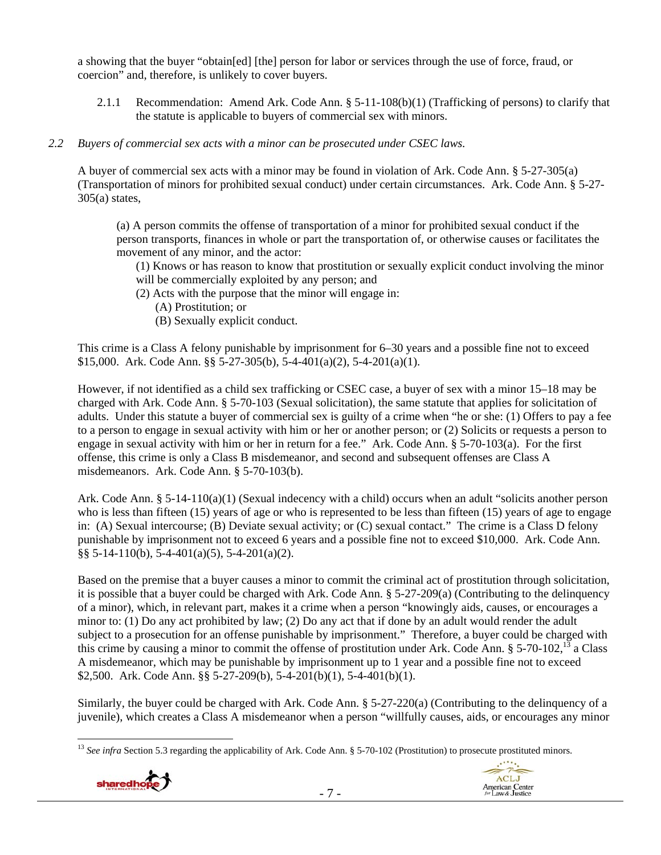a showing that the buyer "obtain[ed] [the] person for labor or services through the use of force, fraud, or coercion" and, therefore, is unlikely to cover buyers.

2.1.1 Recommendation: Amend Ark. Code Ann. § 5-11-108(b)(1) (Trafficking of persons) to clarify that the statute is applicable to buyers of commercial sex with minors.

# *2.2 Buyers of commercial sex acts with a minor can be prosecuted under CSEC laws.*

A buyer of commercial sex acts with a minor may be found in violation of Ark. Code Ann. § 5-27-305(a) (Transportation of minors for prohibited sexual conduct) under certain circumstances. Ark. Code Ann. § 5-27-  $305(a)$  states,

(a) A person commits the offense of transportation of a minor for prohibited sexual conduct if the person transports, finances in whole or part the transportation of, or otherwise causes or facilitates the movement of any minor, and the actor:

(1) Knows or has reason to know that prostitution or sexually explicit conduct involving the minor will be commercially exploited by any person; and

- (2) Acts with the purpose that the minor will engage in:
	- (A) Prostitution; or
	- (B) Sexually explicit conduct.

This crime is a Class A felony punishable by imprisonment for 6–30 years and a possible fine not to exceed \$15,000. Ark. Code Ann. §§ 5-27-305(b), 5-4-401(a)(2), 5-4-201(a)(1).

However, if not identified as a child sex trafficking or CSEC case, a buyer of sex with a minor 15–18 may be charged with Ark. Code Ann. § 5-70-103 (Sexual solicitation), the same statute that applies for solicitation of adults. Under this statute a buyer of commercial sex is guilty of a crime when "he or she: (1) Offers to pay a fee to a person to engage in sexual activity with him or her or another person; or (2) Solicits or requests a person to engage in sexual activity with him or her in return for a fee." Ark. Code Ann. § 5-70-103(a). For the first offense, this crime is only a Class B misdemeanor, and second and subsequent offenses are Class A misdemeanors. Ark. Code Ann. § 5-70-103(b).

Ark. Code Ann. § 5-14-110(a)(1) (Sexual indecency with a child) occurs when an adult "solicits another person who is less than fifteen (15) years of age or who is represented to be less than fifteen (15) years of age to engage in: (A) Sexual intercourse; (B) Deviate sexual activity; or (C) sexual contact." The crime is a Class D felony punishable by imprisonment not to exceed 6 years and a possible fine not to exceed \$10,000. Ark. Code Ann.  $\S$ § 5-14-110(b), 5-4-401(a)(5), 5-4-201(a)(2).

Based on the premise that a buyer causes a minor to commit the criminal act of prostitution through solicitation, it is possible that a buyer could be charged with Ark. Code Ann. § 5-27-209(a) (Contributing to the delinquency of a minor), which, in relevant part, makes it a crime when a person "knowingly aids, causes, or encourages a minor to: (1) Do any act prohibited by law; (2) Do any act that if done by an adult would render the adult subject to a prosecution for an offense punishable by imprisonment." Therefore, a buyer could be charged with this crime by causing a minor to commit the offense of prostitution under Ark. Code Ann.  $\S$  5-70-102,<sup>13</sup> a Class A misdemeanor, which may be punishable by imprisonment up to 1 year and a possible fine not to exceed \$2,500. Ark. Code Ann. §§ 5-27-209(b), 5-4-201(b)(1), 5-4-401(b)(1).

Similarly, the buyer could be charged with Ark. Code Ann. § 5-27-220(a) (Contributing to the delinquency of a juvenile), which creates a Class A misdemeanor when a person "willfully causes, aids, or encourages any minor

 $\overline{a}$ <sup>13</sup> See infra Section 5.3 regarding the applicability of Ark. Code Ann. § 5-70-102 (Prostitution) to prosecute prostituted minors.



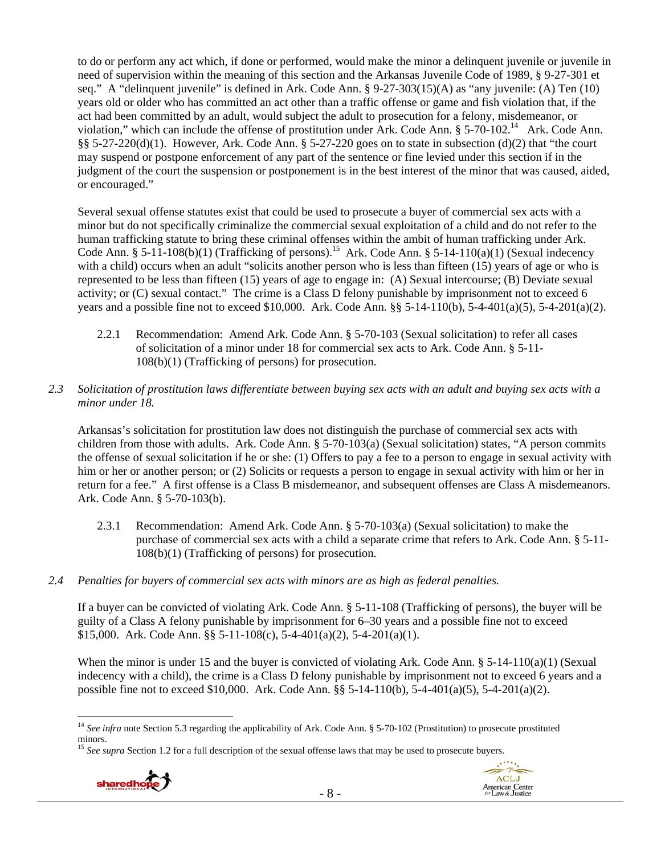to do or perform any act which, if done or performed, would make the minor a delinquent juvenile or juvenile in need of supervision within the meaning of this section and the Arkansas Juvenile Code of 1989, § 9-27-301 et seq." A "delinquent juvenile" is defined in Ark. Code Ann. § 9-27-303(15)(A) as "any juvenile: (A) Ten (10) years old or older who has committed an act other than a traffic offense or game and fish violation that, if the act had been committed by an adult, would subject the adult to prosecution for a felony, misdemeanor, or violation," which can include the offense of prostitution under Ark. Code Ann. § 5-70-102.<sup>14</sup> Ark. Code Ann. §§ 5-27-220(d)(1). However, Ark. Code Ann. § 5-27-220 goes on to state in subsection (d)(2) that "the court may suspend or postpone enforcement of any part of the sentence or fine levied under this section if in the judgment of the court the suspension or postponement is in the best interest of the minor that was caused, aided, or encouraged."

Several sexual offense statutes exist that could be used to prosecute a buyer of commercial sex acts with a minor but do not specifically criminalize the commercial sexual exploitation of a child and do not refer to the human trafficking statute to bring these criminal offenses within the ambit of human trafficking under Ark. Code Ann. § 5-11-108(b)(1) (Trafficking of persons).<sup>15</sup> Ark. Code Ann. § 5-14-110(a)(1) (Sexual indecency with a child) occurs when an adult "solicits another person who is less than fifteen (15) years of age or who is represented to be less than fifteen (15) years of age to engage in: (A) Sexual intercourse; (B) Deviate sexual activity; or (C) sexual contact." The crime is a Class D felony punishable by imprisonment not to exceed 6 years and a possible fine not to exceed \$10,000. Ark. Code Ann. §§ 5-14-110(b), 5-4-401(a)(5), 5-4-201(a)(2).

- 2.2.1 Recommendation: Amend Ark. Code Ann. § 5-70-103 (Sexual solicitation) to refer all cases of solicitation of a minor under 18 for commercial sex acts to Ark. Code Ann. § 5-11- 108(b)(1) (Trafficking of persons) for prosecution.
- *2.3 Solicitation of prostitution laws differentiate between buying sex acts with an adult and buying sex acts with a minor under 18.*

Arkansas's solicitation for prostitution law does not distinguish the purchase of commercial sex acts with children from those with adults. Ark. Code Ann. § 5-70-103(a) (Sexual solicitation) states, "A person commits the offense of sexual solicitation if he or she: (1) Offers to pay a fee to a person to engage in sexual activity with him or her or another person; or (2) Solicits or requests a person to engage in sexual activity with him or her in return for a fee." A first offense is a Class B misdemeanor, and subsequent offenses are Class A misdemeanors. Ark. Code Ann. § 5-70-103(b).

- 2.3.1 Recommendation: Amend Ark. Code Ann. § 5-70-103(a) (Sexual solicitation) to make the purchase of commercial sex acts with a child a separate crime that refers to Ark. Code Ann. § 5-11- 108(b)(1) (Trafficking of persons) for prosecution.
- *2.4 Penalties for buyers of commercial sex acts with minors are as high as federal penalties.*

If a buyer can be convicted of violating Ark. Code Ann. § 5-11-108 (Trafficking of persons), the buyer will be guilty of a Class A felony punishable by imprisonment for 6–30 years and a possible fine not to exceed \$15,000. Ark. Code Ann. §§ 5-11-108(c), 5-4-401(a)(2), 5-4-201(a)(1).

When the minor is under 15 and the buyer is convicted of violating Ark. Code Ann.  $\S$  5-14-110(a)(1) (Sexual indecency with a child), the crime is a Class D felony punishable by imprisonment not to exceed 6 years and a possible fine not to exceed \$10,000. Ark. Code Ann. §§ 5-14-110(b), 5-4-401(a)(5), 5-4-201(a)(2).

<sup>&</sup>lt;sup>15</sup> *See supra* Section 1.2 for a full description of the sexual offense laws that may be used to prosecute buyers.



<sup>&</sup>lt;sup>14</sup> See infra note Section 5.3 regarding the applicability of Ark. Code Ann. § 5-70-102 (Prostitution) to prosecute prostituted minors.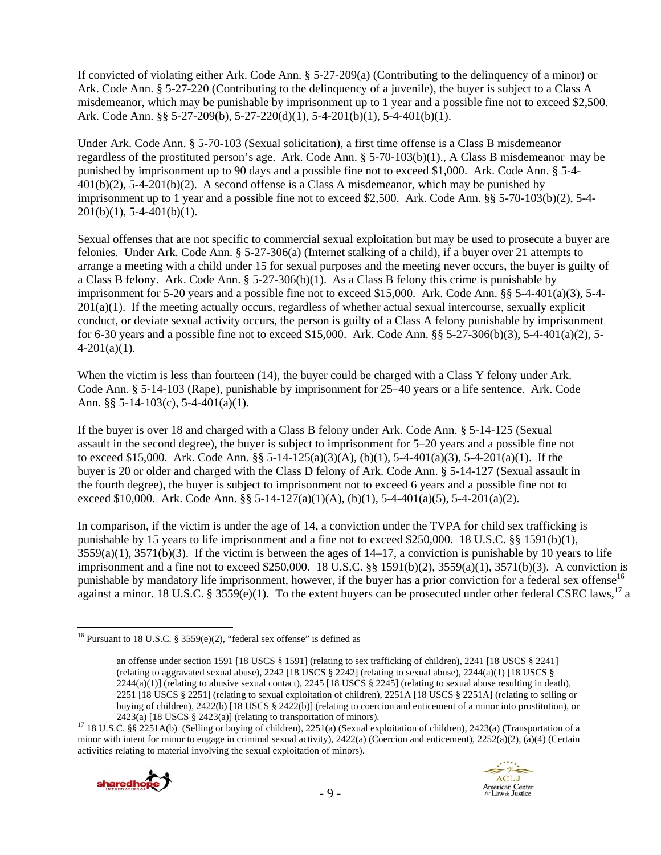If convicted of violating either Ark. Code Ann. § 5-27-209(a) (Contributing to the delinquency of a minor) or Ark. Code Ann. § 5-27-220 (Contributing to the delinquency of a juvenile), the buyer is subject to a Class A misdemeanor, which may be punishable by imprisonment up to 1 year and a possible fine not to exceed \$2,500. Ark. Code Ann. §§ 5-27-209(b), 5-27-220(d)(1), 5-4-201(b)(1), 5-4-401(b)(1).

Under Ark. Code Ann. § 5-70-103 (Sexual solicitation), a first time offense is a Class B misdemeanor regardless of the prostituted person's age. Ark. Code Ann. § 5-70-103(b)(1)., A Class B misdemeanor may be punished by imprisonment up to 90 days and a possible fine not to exceed \$1,000. Ark. Code Ann. § 5-4- 401(b)(2), 5-4-201(b)(2). A second offense is a Class A misdemeanor, which may be punished by imprisonment up to 1 year and a possible fine not to exceed \$2,500. Ark. Code Ann. §§ 5-70-103(b)(2), 5-4-  $201(b)(1)$ , 5-4-401(b)(1).

Sexual offenses that are not specific to commercial sexual exploitation but may be used to prosecute a buyer are felonies. Under Ark. Code Ann. § 5-27-306(a) (Internet stalking of a child), if a buyer over 21 attempts to arrange a meeting with a child under 15 for sexual purposes and the meeting never occurs, the buyer is guilty of a Class B felony. Ark. Code Ann.  $\S 5-27-306(b)(1)$ . As a Class B felony this crime is punishable by imprisonment for 5-20 years and a possible fine not to exceed \$15,000. Ark. Code Ann. §§ 5-4-401(a)(3), 5-4- 201(a)(1). If the meeting actually occurs, regardless of whether actual sexual intercourse, sexually explicit conduct, or deviate sexual activity occurs, the person is guilty of a Class A felony punishable by imprisonment for 6-30 years and a possible fine not to exceed \$15,000. Ark. Code Ann. §§ 5-27-306(b)(3), 5-4-401(a)(2), 5-  $4-201(a)(1)$ .

When the victim is less than fourteen (14), the buyer could be charged with a Class Y felony under Ark. Code Ann. § 5-14-103 (Rape), punishable by imprisonment for 25–40 years or a life sentence. Ark. Code Ann. §§ 5-14-103(c), 5-4-401(a)(1).

If the buyer is over 18 and charged with a Class B felony under Ark. Code Ann. § 5-14-125 (Sexual assault in the second degree), the buyer is subject to imprisonment for 5–20 years and a possible fine not to exceed \$15,000. Ark. Code Ann. §§ 5-14-125(a)(3)(A), (b)(1), 5-4-401(a)(3), 5-4-201(a)(1). If the buyer is 20 or older and charged with the Class D felony of Ark. Code Ann. § 5-14-127 (Sexual assault in the fourth degree), the buyer is subject to imprisonment not to exceed 6 years and a possible fine not to exceed \$10,000. Ark. Code Ann. §§ 5-14-127(a)(1)(A), (b)(1), 5-4-401(a)(5), 5-4-201(a)(2).

In comparison, if the victim is under the age of 14, a conviction under the TVPA for child sex trafficking is punishable by 15 years to life imprisonment and a fine not to exceed \$250,000. 18 U.S.C. §§ 1591(b)(1),  $3559(a)(1)$ ,  $3571(b)(3)$ . If the victim is between the ages of  $14-17$ , a conviction is punishable by 10 years to life imprisonment and a fine not to exceed \$250,000. 18 U.S.C. §§ 1591(b)(2), 3559(a)(1), 3571(b)(3). A conviction is punishable by mandatory life imprisonment, however, if the buyer has a prior conviction for a federal sex offense<sup>16</sup> against a minor. 18 U.S.C. § 3559(e)(1). To the extent buyers can be prosecuted under other federal CSEC laws,<sup>17</sup> a

<sup>2423(</sup>a) [18 USCS § 2423(a)] (relating to transportation of minors).<br><sup>17</sup> 18 U.S.C. §§ 2251A(b) (Selling or buying of children), 2251(a) (Sexual exploitation of children), 2423(a) (Transportation of a minor with intent for minor to engage in criminal sexual activity), 2422(a) (Coercion and enticement), 2252(a)(2), (a)(4) (Certain activities relating to material involving the sexual exploitation of minors).





<sup>&</sup>lt;sup>16</sup> Pursuant to 18 U.S.C. § 3559(e)(2), "federal sex offense" is defined as

an offense under section 1591 [18 USCS § 1591] (relating to sex trafficking of children), 2241 [18 USCS § 2241] (relating to aggravated sexual abuse), 2242 [18 USCS § 2242] (relating to sexual abuse), 2244(a)(1) [18 USCS §  $2244(a)(1)$ ] (relating to abusive sexual contact),  $2245$  [18 USCS § 2245] (relating to sexual abuse resulting in death), 2251 [18 USCS § 2251] (relating to sexual exploitation of children), 2251A [18 USCS § 2251A] (relating to selling or buying of children), 2422(b) [18 USCS § 2422(b)] (relating to coercion and enticement of a minor into prostitution), or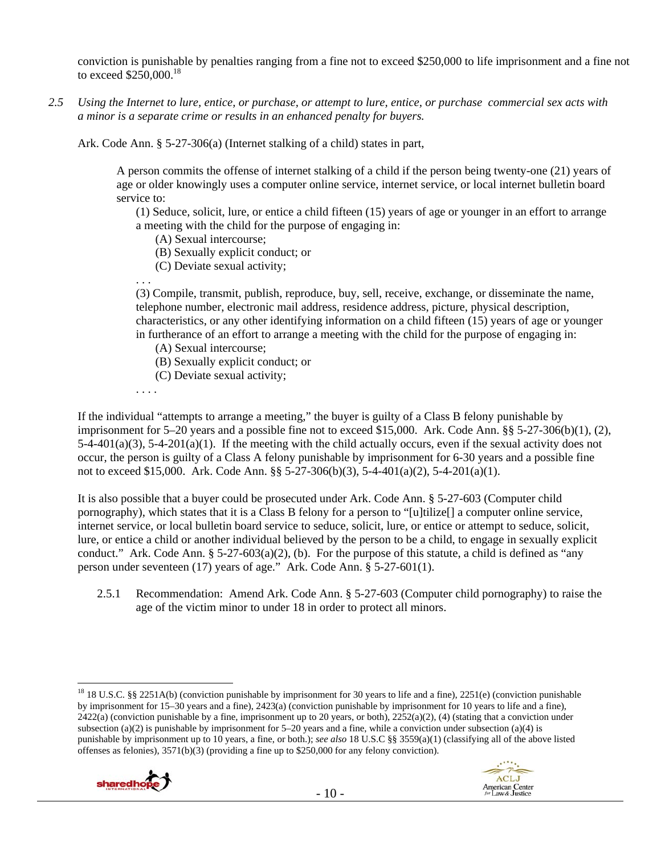conviction is punishable by penalties ranging from a fine not to exceed \$250,000 to life imprisonment and a fine not to exceed \$250,000.<sup>18</sup>

*2.5 Using the Internet to lure, entice, or purchase, or attempt to lure, entice, or purchase commercial sex acts with a minor is a separate crime or results in an enhanced penalty for buyers.* 

Ark. Code Ann. § 5-27-306(a) (Internet stalking of a child) states in part,

A person commits the offense of internet stalking of a child if the person being twenty-one (21) years of age or older knowingly uses a computer online service, internet service, or local internet bulletin board service to:

(1) Seduce, solicit, lure, or entice a child fifteen (15) years of age or younger in an effort to arrange a meeting with the child for the purpose of engaging in:

- (A) Sexual intercourse;
- (B) Sexually explicit conduct; or
- (C) Deviate sexual activity;

. . . (3) Compile, transmit, publish, reproduce, buy, sell, receive, exchange, or disseminate the name, telephone number, electronic mail address, residence address, picture, physical description, characteristics, or any other identifying information on a child fifteen (15) years of age or younger in furtherance of an effort to arrange a meeting with the child for the purpose of engaging in:

(A) Sexual intercourse;

(B) Sexually explicit conduct; or

(C) Deviate sexual activity;

. . . .

If the individual "attempts to arrange a meeting," the buyer is guilty of a Class B felony punishable by imprisonment for 5–20 years and a possible fine not to exceed \$15,000. Ark. Code Ann. §§ 5-27-306(b)(1), (2),  $5-4-401(a)(3)$ ,  $5-4-201(a)(1)$ . If the meeting with the child actually occurs, even if the sexual activity does not occur, the person is guilty of a Class A felony punishable by imprisonment for 6-30 years and a possible fine not to exceed \$15,000. Ark. Code Ann. §§ 5-27-306(b)(3), 5-4-401(a)(2), 5-4-201(a)(1).

It is also possible that a buyer could be prosecuted under Ark. Code Ann. § 5-27-603 (Computer child pornography), which states that it is a Class B felony for a person to "[u]tilize[] a computer online service, internet service, or local bulletin board service to seduce, solicit, lure, or entice or attempt to seduce, solicit, lure, or entice a child or another individual believed by the person to be a child, to engage in sexually explicit conduct." Ark. Code Ann.  $\S 5-27-603(a)(2)$ , (b). For the purpose of this statute, a child is defined as "any person under seventeen (17) years of age." Ark. Code Ann. § 5-27-601(1).

2.5.1 Recommendation: Amend Ark. Code Ann. § 5-27-603 (Computer child pornography) to raise the age of the victim minor to under 18 in order to protect all minors.

 $\overline{a}$ <sup>18</sup> 18 U.S.C. §§ 2251A(b) (conviction punishable by imprisonment for 30 years to life and a fine), 2251(e) (conviction punishable by imprisonment for 15–30 years and a fine), 2423(a) (conviction punishable by imprisonment for 10 years to life and a fine),  $2422(a)$  (conviction punishable by a fine, imprisonment up to 20 years, or both),  $2252(a)(2)$ , (4) (stating that a conviction under subsection (a)(2) is punishable by imprisonment for  $5-20$  years and a fine, while a conviction under subsection (a)(4) is punishable by imprisonment up to 10 years, a fine, or both.); *see also* 18 U.S.C §§ 3559(a)(1) (classifying all of the above listed offenses as felonies), 3571(b)(3) (providing a fine up to \$250,000 for any felony conviction).



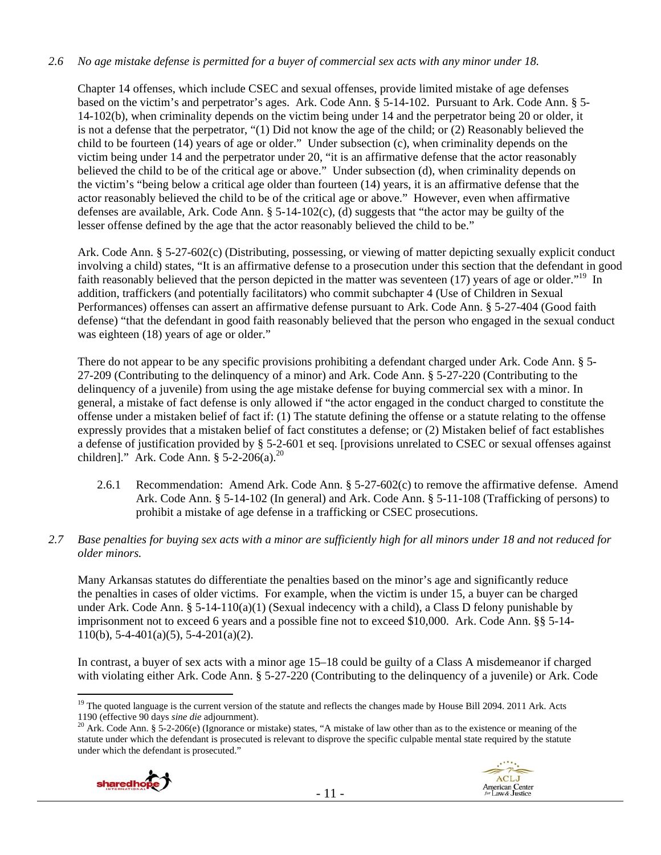## *2.6 No age mistake defense is permitted for a buyer of commercial sex acts with any minor under 18.*

Chapter 14 offenses, which include CSEC and sexual offenses, provide limited mistake of age defenses based on the victim's and perpetrator's ages. Ark. Code Ann. § 5-14-102. Pursuant to Ark. Code Ann. § 5- 14-102(b), when criminality depends on the victim being under 14 and the perpetrator being 20 or older, it is not a defense that the perpetrator, "(1) Did not know the age of the child; or (2) Reasonably believed the child to be fourteen (14) years of age or older." Under subsection (c), when criminality depends on the victim being under 14 and the perpetrator under 20, "it is an affirmative defense that the actor reasonably believed the child to be of the critical age or above." Under subsection (d), when criminality depends on the victim's "being below a critical age older than fourteen (14) years, it is an affirmative defense that the actor reasonably believed the child to be of the critical age or above." However, even when affirmative defenses are available, Ark. Code Ann. § 5-14-102(c), (d) suggests that "the actor may be guilty of the lesser offense defined by the age that the actor reasonably believed the child to be."

Ark. Code Ann. § 5-27-602(c) (Distributing, possessing, or viewing of matter depicting sexually explicit conduct involving a child) states, "It is an affirmative defense to a prosecution under this section that the defendant in good faith reasonably believed that the person depicted in the matter was seventeen (17) years of age or older."<sup>19</sup> In addition, traffickers (and potentially facilitators) who commit subchapter 4 (Use of Children in Sexual Performances) offenses can assert an affirmative defense pursuant to Ark. Code Ann. § 5-27-404 (Good faith defense) "that the defendant in good faith reasonably believed that the person who engaged in the sexual conduct was eighteen (18) years of age or older."

There do not appear to be any specific provisions prohibiting a defendant charged under Ark. Code Ann. § 5- 27-209 (Contributing to the delinquency of a minor) and Ark. Code Ann. § 5-27-220 (Contributing to the delinquency of a juvenile) from using the age mistake defense for buying commercial sex with a minor. In general, a mistake of fact defense is only allowed if "the actor engaged in the conduct charged to constitute the offense under a mistaken belief of fact if: (1) The statute defining the offense or a statute relating to the offense expressly provides that a mistaken belief of fact constitutes a defense; or (2) Mistaken belief of fact establishes a defense of justification provided by § 5-2-601 et seq. [provisions unrelated to CSEC or sexual offenses against children]." Ark. Code Ann.  $$ 5-2-206(a).^{20}$ 

- 2.6.1 Recommendation: Amend Ark. Code Ann. § 5-27-602(c) to remove the affirmative defense. Amend Ark. Code Ann. § 5-14-102 (In general) and Ark. Code Ann. § 5-11-108 (Trafficking of persons) to prohibit a mistake of age defense in a trafficking or CSEC prosecutions.
- *2.7 Base penalties for buying sex acts with a minor are sufficiently high for all minors under 18 and not reduced for older minors.*

Many Arkansas statutes do differentiate the penalties based on the minor's age and significantly reduce the penalties in cases of older victims. For example, when the victim is under 15, a buyer can be charged under Ark. Code Ann. § 5-14-110(a)(1) (Sexual indecency with a child), a Class D felony punishable by imprisonment not to exceed 6 years and a possible fine not to exceed \$10,000. Ark. Code Ann. §§ 5-14- 110(b),  $5-4-401(a)(5)$ ,  $5-4-201(a)(2)$ .

In contrast, a buyer of sex acts with a minor age 15–18 could be guilty of a Class A misdemeanor if charged with violating either Ark. Code Ann. § 5-27-220 (Contributing to the delinquency of a juvenile) or Ark. Code

<sup>&</sup>lt;sup>20</sup> Ark. Code Ann. § 5-2-206(e) (Ignorance or mistake) states, "A mistake of law other than as to the existence or meaning of the statute under which the defendant is prosecuted is relevant to disprove the specific culpable mental state required by the statute under which the defendant is prosecuted."





 $\overline{a}$ <sup>19</sup> The quoted language is the current version of the statute and reflects the changes made by House Bill 2094. 2011 Ark. Acts 1190 (effective 90 days *sine die* adjournment).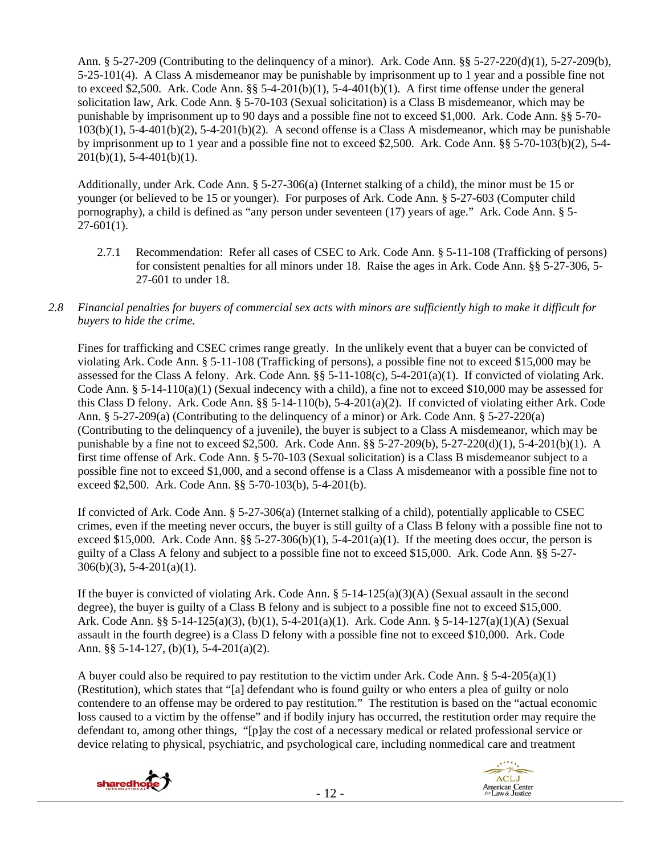Ann. § 5-27-209 (Contributing to the delinquency of a minor). Ark. Code Ann. §§ 5-27-220(d)(1), 5-27-209(b), 5-25-101(4). A Class A misdemeanor may be punishable by imprisonment up to 1 year and a possible fine not to exceed \$2,500. Ark. Code Ann. §§ 5-4-201(b)(1), 5-4-401(b)(1). A first time offense under the general solicitation law, Ark. Code Ann. § 5-70-103 (Sexual solicitation) is a Class B misdemeanor, which may be punishable by imprisonment up to 90 days and a possible fine not to exceed \$1,000. Ark. Code Ann. §§ 5-70-  $103(b)(1)$ , 5-4-401(b)(2), 5-4-201(b)(2). A second offense is a Class A misdemeanor, which may be punishable by imprisonment up to 1 year and a possible fine not to exceed \$2,500. Ark. Code Ann. §§ 5-70-103(b)(2), 5-4-  $201(b)(1)$ , 5-4-401(b)(1).

Additionally, under Ark. Code Ann. § 5-27-306(a) (Internet stalking of a child), the minor must be 15 or younger (or believed to be 15 or younger). For purposes of Ark. Code Ann. § 5-27-603 (Computer child pornography), a child is defined as "any person under seventeen (17) years of age." Ark. Code Ann. § 5-  $27-601(1)$ .

- 2.7.1 Recommendation: Refer all cases of CSEC to Ark. Code Ann. § 5-11-108 (Trafficking of persons) for consistent penalties for all minors under 18. Raise the ages in Ark. Code Ann. §§ 5-27-306, 5- 27-601 to under 18.
- *2.8 Financial penalties for buyers of commercial sex acts with minors are sufficiently high to make it difficult for buyers to hide the crime.*

Fines for trafficking and CSEC crimes range greatly. In the unlikely event that a buyer can be convicted of violating Ark. Code Ann. § 5-11-108 (Trafficking of persons), a possible fine not to exceed \$15,000 may be assessed for the Class A felony. Ark. Code Ann.  $\S$ § 5-11-108(c), 5-4-201(a)(1). If convicted of violating Ark. Code Ann. §  $5-14-110(a)(1)$  (Sexual indecency with a child), a fine not to exceed \$10,000 may be assessed for this Class D felony. Ark. Code Ann. §§ 5-14-110(b), 5-4-201(a)(2). If convicted of violating either Ark. Code Ann. § 5-27-209(a) (Contributing to the delinquency of a minor) or Ark. Code Ann. § 5-27-220(a) (Contributing to the delinquency of a juvenile), the buyer is subject to a Class A misdemeanor, which may be punishable by a fine not to exceed \$2,500. Ark. Code Ann. §§ 5-27-209(b), 5-27-220(d)(1), 5-4-201(b)(1). A first time offense of Ark. Code Ann. § 5-70-103 (Sexual solicitation) is a Class B misdemeanor subject to a possible fine not to exceed \$1,000, and a second offense is a Class A misdemeanor with a possible fine not to exceed \$2,500. Ark. Code Ann. §§ 5-70-103(b), 5-4-201(b).

If convicted of Ark. Code Ann. § 5-27-306(a) (Internet stalking of a child), potentially applicable to CSEC crimes, even if the meeting never occurs, the buyer is still guilty of a Class B felony with a possible fine not to exceed \$15,000. Ark. Code Ann. §§ 5-27-306(b)(1), 5-4-201(a)(1). If the meeting does occur, the person is guilty of a Class A felony and subject to a possible fine not to exceed \$15,000. Ark. Code Ann. §§ 5-27-  $306(b)(3)$ , 5-4-201(a)(1).

If the buyer is convicted of violating Ark. Code Ann. § 5-14-125(a)(3)(A) (Sexual assault in the second degree), the buyer is guilty of a Class B felony and is subject to a possible fine not to exceed \$15,000. Ark. Code Ann. §§ 5-14-125(a)(3), (b)(1), 5-4-201(a)(1). Ark. Code Ann. § 5-14-127(a)(1)(A) (Sexual assault in the fourth degree) is a Class D felony with a possible fine not to exceed \$10,000. Ark. Code Ann. §§ 5-14-127, (b)(1), 5-4-201(a)(2).

A buyer could also be required to pay restitution to the victim under Ark. Code Ann.  $\S$  5-4-205(a)(1) (Restitution), which states that "[a] defendant who is found guilty or who enters a plea of guilty or nolo contendere to an offense may be ordered to pay restitution." The restitution is based on the "actual economic loss caused to a victim by the offense" and if bodily injury has occurred, the restitution order may require the defendant to, among other things, "[p]ay the cost of a necessary medical or related professional service or device relating to physical, psychiatric, and psychological care, including nonmedical care and treatment



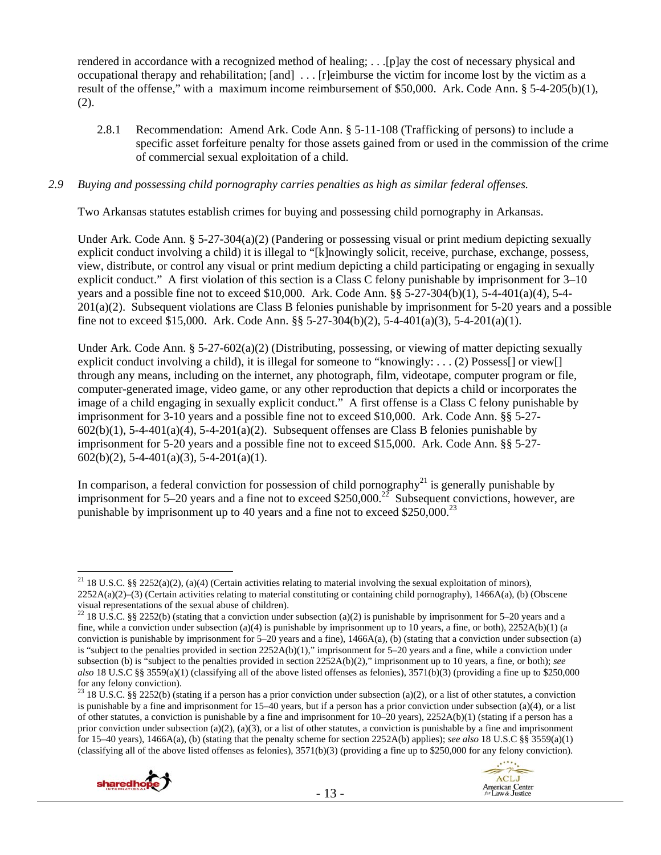rendered in accordance with a recognized method of healing; . . .[p]ay the cost of necessary physical and occupational therapy and rehabilitation; [and] . . . [r]eimburse the victim for income lost by the victim as a result of the offense," with a maximum income reimbursement of \$50,000. Ark. Code Ann. § 5-4-205(b)(1), (2).

2.8.1 Recommendation: Amend Ark. Code Ann. § 5-11-108 (Trafficking of persons) to include a specific asset forfeiture penalty for those assets gained from or used in the commission of the crime of commercial sexual exploitation of a child.

#### *2.9 Buying and possessing child pornography carries penalties as high as similar federal offenses.*

Two Arkansas statutes establish crimes for buying and possessing child pornography in Arkansas.

Under Ark. Code Ann. § 5-27-304(a)(2) (Pandering or possessing visual or print medium depicting sexually explicit conduct involving a child) it is illegal to "[k]nowingly solicit, receive, purchase, exchange, possess, view, distribute, or control any visual or print medium depicting a child participating or engaging in sexually explicit conduct." A first violation of this section is a Class C felony punishable by imprisonment for 3–10 years and a possible fine not to exceed \$10,000. Ark. Code Ann. §§ 5-27-304(b)(1), 5-4-401(a)(4), 5-4- 201(a)(2). Subsequent violations are Class B felonies punishable by imprisonment for 5-20 years and a possible fine not to exceed \$15,000. Ark. Code Ann. §§ 5-27-304(b)(2), 5-4-401(a)(3), 5-4-201(a)(1).

Under Ark. Code Ann.  $\S 5-27-602(a)(2)$  (Distributing, possessing, or viewing of matter depicting sexually explicit conduct involving a child), it is illegal for someone to "knowingly: . . . (2) Possess[] or view[] through any means, including on the internet, any photograph, film, videotape, computer program or file, computer-generated image, video game, or any other reproduction that depicts a child or incorporates the image of a child engaging in sexually explicit conduct." A first offense is a Class C felony punishable by imprisonment for 3-10 years and a possible fine not to exceed \$10,000. Ark. Code Ann. §§ 5-27-  $602(b)(1)$ ,  $5-4-401(a)(4)$ ,  $5-4-201(a)(2)$ . Subsequent offenses are Class B felonies punishable by imprisonment for 5-20 years and a possible fine not to exceed \$15,000. Ark. Code Ann. §§ 5-27-  $602(b)(2)$ , 5-4-401(a)(3), 5-4-201(a)(1).

In comparison, a federal conviction for possession of child pornography<sup>21</sup> is generally punishable by imprisonment for  $5-20$  years and a fine not to exceed \$250,000.<sup>22</sup> Subsequent convictions, however, are punishable by imprisonment up to 40 years and a fine not to exceed  $$250,000.<sup>23</sup>$ 

<sup>&</sup>lt;sup>23</sup> 18 U.S.C. §§ 2252(b) (stating if a person has a prior conviction under subsection (a)(2), or a list of other statutes, a conviction is punishable by a fine and imprisonment for 15–40 years, but if a person has a prior conviction under subsection (a)(4), or a list of other statutes, a conviction is punishable by a fine and imprisonment for 10–20 years), 2252A(b)(1) (stating if a person has a prior conviction under subsection (a)(2), (a)(3), or a list of other statutes, a conviction is punishable by a fine and imprisonment for 15–40 years), 1466A(a), (b) (stating that the penalty scheme for section 2252A(b) applies); *see also* 18 U.S.C §§ 3559(a)(1) (classifying all of the above listed offenses as felonies),  $3571(b)(3)$  (providing a fine up to \$250,000 for any felony conviction).



 $\overline{a}$ <sup>21</sup> 18 U.S.C. §§ 2252(a)(2), (a)(4) (Certain activities relating to material involving the sexual exploitation of minors), 2252A(a)(2)–(3) (Certain activities relating to material constituting or containing child pornography), 1466A(a), (b) (Obscene visual representations of the sexual abuse of children).

<sup>&</sup>lt;sup>22</sup> 18 U.S.C. §§ 2252(b) (stating that a conviction under subsection (a)(2) is punishable by imprisonment for 5–20 years and a fine, while a conviction under subsection (a)(4) is punishable by imprisonment up to 10 years, a fine, or both),  $2252A(b)(1)$  (a conviction is punishable by imprisonment for  $5-20$  years and a fine),  $1466A(a)$ , (b) (stating that a conviction under subsection (a) is "subject to the penalties provided in section 2252A(b)(1)," imprisonment for 5–20 years and a fine, while a conviction under subsection (b) is "subject to the penalties provided in section 2252A(b)(2)," imprisonment up to 10 years, a fine, or both); *see also* 18 U.S.C §§ 3559(a)(1) (classifying all of the above listed offenses as felonies), 3571(b)(3) (providing a fine up to \$250,000 for any felony conviction).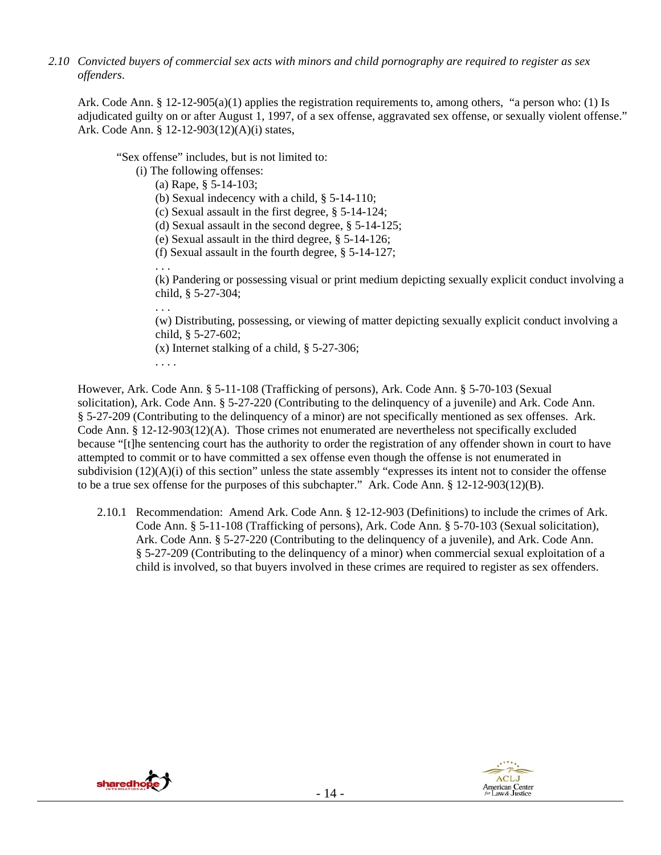*2.10 Convicted buyers of commercial sex acts with minors and child pornography are required to register as sex offenders*.

Ark. Code Ann. § 12-12-905(a)(1) applies the registration requirements to, among others, "a person who: (1) Is adjudicated guilty on or after August 1, 1997, of a sex offense, aggravated sex offense, or sexually violent offense." Ark. Code Ann. § 12-12-903(12)(A)(i) states,

"Sex offense" includes, but is not limited to:

(i) The following offenses:

(a) Rape, § 5-14-103;

(b) Sexual indecency with a child, § 5-14-110;

- (c) Sexual assault in the first degree, § 5-14-124;
- (d) Sexual assault in the second degree, § 5-14-125;
- (e) Sexual assault in the third degree, § 5-14-126;
- (f) Sexual assault in the fourth degree, § 5-14-127;

. . . (k) Pandering or possessing visual or print medium depicting sexually explicit conduct involving a child, § 5-27-304;

(w) Distributing, possessing, or viewing of matter depicting sexually explicit conduct involving a child, § 5-27-602;

(x) Internet stalking of a child, § 5-27-306;

. . . .

. . .

However, Ark. Code Ann. § 5-11-108 (Trafficking of persons), Ark. Code Ann. § 5-70-103 (Sexual solicitation), Ark. Code Ann. § 5-27-220 (Contributing to the delinquency of a juvenile) and Ark. Code Ann. § 5-27-209 (Contributing to the delinquency of a minor) are not specifically mentioned as sex offenses. Ark. Code Ann. § 12-12-903(12)(A). Those crimes not enumerated are nevertheless not specifically excluded because "[t]he sentencing court has the authority to order the registration of any offender shown in court to have attempted to commit or to have committed a sex offense even though the offense is not enumerated in subdivision  $(12)(A)(i)$  of this section" unless the state assembly "expresses its intent not to consider the offense to be a true sex offense for the purposes of this subchapter." Ark. Code Ann. § 12-12-903(12)(B).

2.10.1 Recommendation: Amend Ark. Code Ann. § 12-12-903 (Definitions) to include the crimes of Ark. Code Ann. § 5-11-108 (Trafficking of persons), Ark. Code Ann. § 5-70-103 (Sexual solicitation), Ark. Code Ann. § 5-27-220 (Contributing to the delinquency of a juvenile), and Ark. Code Ann. § 5-27-209 (Contributing to the delinquency of a minor) when commercial sexual exploitation of a child is involved, so that buyers involved in these crimes are required to register as sex offenders.



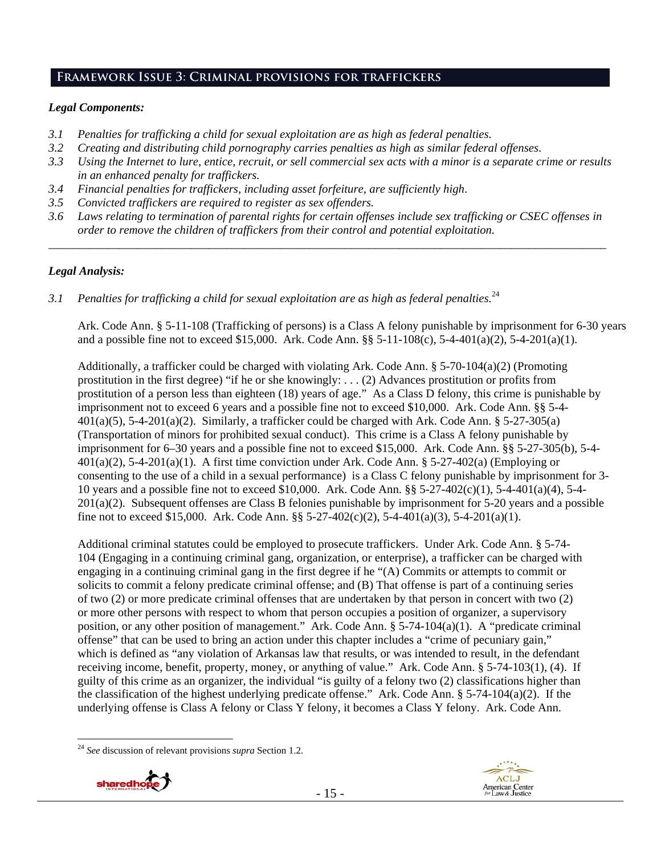# **Framework Issue 3: Criminal provisions for traffickers**

# *Legal Components:*

- *3.1 Penalties for trafficking a child for sexual exploitation are as high as federal penalties.*
- *3.2 Creating and distributing child pornography carries penalties as high as similar federal offenses*.
- *3.3 Using the Internet to lure, entice, recruit, or sell commercial sex acts with a minor is a separate crime or results in an enhanced penalty for traffickers.*
- *3.4 Financial penalties for traffickers, including asset forfeiture, are sufficiently high*.
- *3.5 Convicted traffickers are required to register as sex offenders.*
- *3.6 Laws relating to termination of parental rights for certain offenses include sex trafficking or CSEC offenses in order to remove the children of traffickers from their control and potential exploitation.*

*\_\_\_\_\_\_\_\_\_\_\_\_\_\_\_\_\_\_\_\_\_\_\_\_\_\_\_\_\_\_\_\_\_\_\_\_\_\_\_\_\_\_\_\_\_\_\_\_\_\_\_\_\_\_\_\_\_\_\_\_\_\_\_\_\_\_\_\_\_\_\_\_\_\_\_\_\_\_\_\_\_\_\_\_\_\_\_\_\_\_\_\_\_\_* 

## *Legal Analysis:*

*3.1 Penalties for trafficking a child for sexual exploitation are as high as federal penalties.*<sup>24</sup>

Ark. Code Ann. § 5-11-108 (Trafficking of persons) is a Class A felony punishable by imprisonment for 6-30 years and a possible fine not to exceed \$15,000. Ark. Code Ann. §§ 5-11-108(c), 5-4-401(a)(2), 5-4-201(a)(1).

Additionally, a trafficker could be charged with violating Ark. Code Ann. § 5-70-104(a)(2) (Promoting prostitution in the first degree) "if he or she knowingly: . . . (2) Advances prostitution or profits from prostitution of a person less than eighteen (18) years of age." As a Class D felony, this crime is punishable by imprisonment not to exceed 6 years and a possible fine not to exceed \$10,000. Ark. Code Ann. §§ 5-4-  $401(a)(5)$ , 5-4-201(a)(2). Similarly, a trafficker could be charged with Ark. Code Ann. § 5-27-305(a) (Transportation of minors for prohibited sexual conduct). This crime is a Class A felony punishable by imprisonment for 6–30 years and a possible fine not to exceed \$15,000. Ark. Code Ann. §§ 5-27-305(b), 5-4-  $401(a)(2)$ , 5-4-201(a)(1). A first time conviction under Ark. Code Ann. § 5-27-402(a) (Employing or consenting to the use of a child in a sexual performance) is a Class C felony punishable by imprisonment for 3- 10 years and a possible fine not to exceed \$10,000. Ark. Code Ann. §§ 5-27-402(c)(1), 5-4-401(a)(4), 5-4- 201(a)(2). Subsequent offenses are Class B felonies punishable by imprisonment for 5-20 years and a possible fine not to exceed \$15,000. Ark. Code Ann. §§ 5-27-402(c)(2), 5-4-401(a)(3), 5-4-201(a)(1).

Additional criminal statutes could be employed to prosecute traffickers. Under Ark. Code Ann. § 5-74- 104 (Engaging in a continuing criminal gang, organization, or enterprise), a trafficker can be charged with engaging in a continuing criminal gang in the first degree if he "(A) Commits or attempts to commit or solicits to commit a felony predicate criminal offense; and (B) That offense is part of a continuing series of two (2) or more predicate criminal offenses that are undertaken by that person in concert with two (2) or more other persons with respect to whom that person occupies a position of organizer, a supervisory position, or any other position of management." Ark. Code Ann. § 5-74-104(a)(1). A "predicate criminal offense" that can be used to bring an action under this chapter includes a "crime of pecuniary gain," which is defined as "any violation of Arkansas law that results, or was intended to result, in the defendant receiving income, benefit, property, money, or anything of value." Ark. Code Ann. § 5-74-103(1), (4). If guilty of this crime as an organizer, the individual "is guilty of a felony two (2) classifications higher than the classification of the highest underlying predicate offense." Ark. Code Ann. § 5-74-104(a)(2). If the underlying offense is Class A felony or Class Y felony, it becomes a Class Y felony. Ark. Code Ann.

 $\overline{a}$ <sup>24</sup> *See* discussion of relevant provisions *supra* Section 1.2.



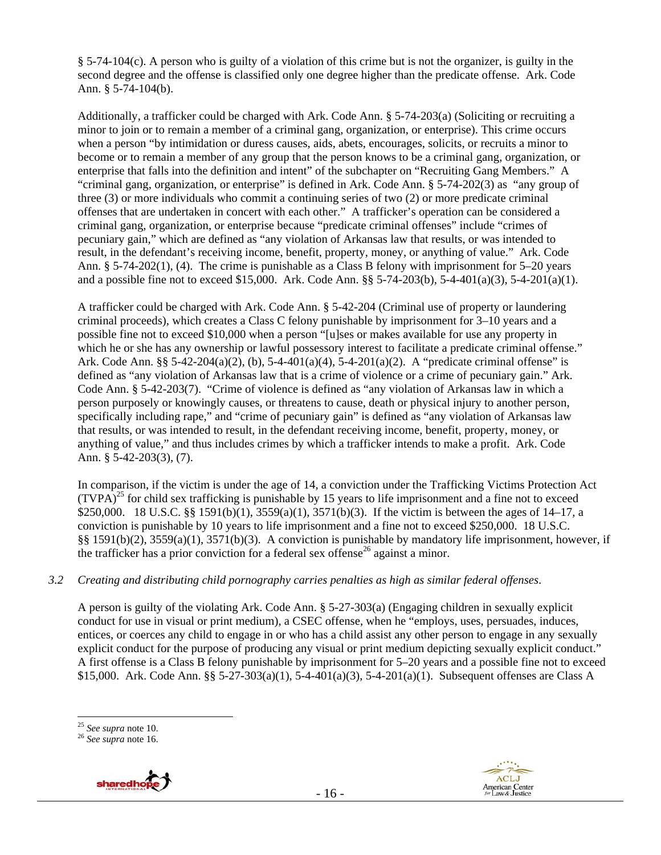§ 5-74-104(c). A person who is guilty of a violation of this crime but is not the organizer, is guilty in the second degree and the offense is classified only one degree higher than the predicate offense. Ark. Code Ann. § 5-74-104(b).

Additionally, a trafficker could be charged with Ark. Code Ann. § 5-74-203(a) (Soliciting or recruiting a minor to join or to remain a member of a criminal gang, organization, or enterprise). This crime occurs when a person "by intimidation or duress causes, aids, abets, encourages, solicits, or recruits a minor to become or to remain a member of any group that the person knows to be a criminal gang, organization, or enterprise that falls into the definition and intent" of the subchapter on "Recruiting Gang Members." A "criminal gang, organization, or enterprise" is defined in Ark. Code Ann. § 5-74-202(3) as "any group of three (3) or more individuals who commit a continuing series of two (2) or more predicate criminal offenses that are undertaken in concert with each other." A trafficker's operation can be considered a criminal gang, organization, or enterprise because "predicate criminal offenses" include "crimes of pecuniary gain," which are defined as "any violation of Arkansas law that results, or was intended to result, in the defendant's receiving income, benefit, property, money, or anything of value." Ark. Code Ann. § 5-74-202(1), (4). The crime is punishable as a Class B felony with imprisonment for 5–20 years and a possible fine not to exceed \$15,000. Ark. Code Ann. §§ 5-74-203(b), 5-4-401(a)(3), 5-4-201(a)(1).

A trafficker could be charged with Ark. Code Ann. § 5-42-204 (Criminal use of property or laundering criminal proceeds), which creates a Class C felony punishable by imprisonment for 3–10 years and a possible fine not to exceed \$10,000 when a person "[u]ses or makes available for use any property in which he or she has any ownership or lawful possessory interest to facilitate a predicate criminal offense." Ark. Code Ann. §§ 5-42-204(a)(2), (b), 5-4-401(a)(4), 5-4-201(a)(2). A "predicate criminal offense" is defined as "any violation of Arkansas law that is a crime of violence or a crime of pecuniary gain." Ark. Code Ann. § 5-42-203(7). "Crime of violence is defined as "any violation of Arkansas law in which a person purposely or knowingly causes, or threatens to cause, death or physical injury to another person, specifically including rape," and "crime of pecuniary gain" is defined as "any violation of Arkansas law that results, or was intended to result, in the defendant receiving income, benefit, property, money, or anything of value," and thus includes crimes by which a trafficker intends to make a profit. Ark. Code Ann. § 5-42-203(3), (7).

In comparison, if the victim is under the age of 14, a conviction under the Trafficking Victims Protection Act  $(TVPA)^{25}$  for child sex trafficking is punishable by 15 years to life imprisonment and a fine not to exceed \$250,000. 18 U.S.C. §§ 1591(b)(1), 3559(a)(1), 3571(b)(3). If the victim is between the ages of 14–17, a conviction is punishable by 10 years to life imprisonment and a fine not to exceed \$250,000. 18 U.S.C. §§ 1591(b)(2), 3559(a)(1), 3571(b)(3). A conviction is punishable by mandatory life imprisonment, however, if the trafficker has a prior conviction for a federal sex offense<sup>26</sup> against a minor.

# *3.2 Creating and distributing child pornography carries penalties as high as similar federal offenses*.

A person is guilty of the violating Ark. Code Ann. § 5-27-303(a) (Engaging children in sexually explicit conduct for use in visual or print medium), a CSEC offense, when he "employs, uses, persuades, induces, entices, or coerces any child to engage in or who has a child assist any other person to engage in any sexually explicit conduct for the purpose of producing any visual or print medium depicting sexually explicit conduct." A first offense is a Class B felony punishable by imprisonment for 5–20 years and a possible fine not to exceed \$15,000. Ark. Code Ann. §§ 5-27-303(a)(1), 5-4-401(a)(3), 5-4-201(a)(1). Subsequent offenses are Class A





<sup>25</sup> *See supra* note 10. 26 *See supra* note 16.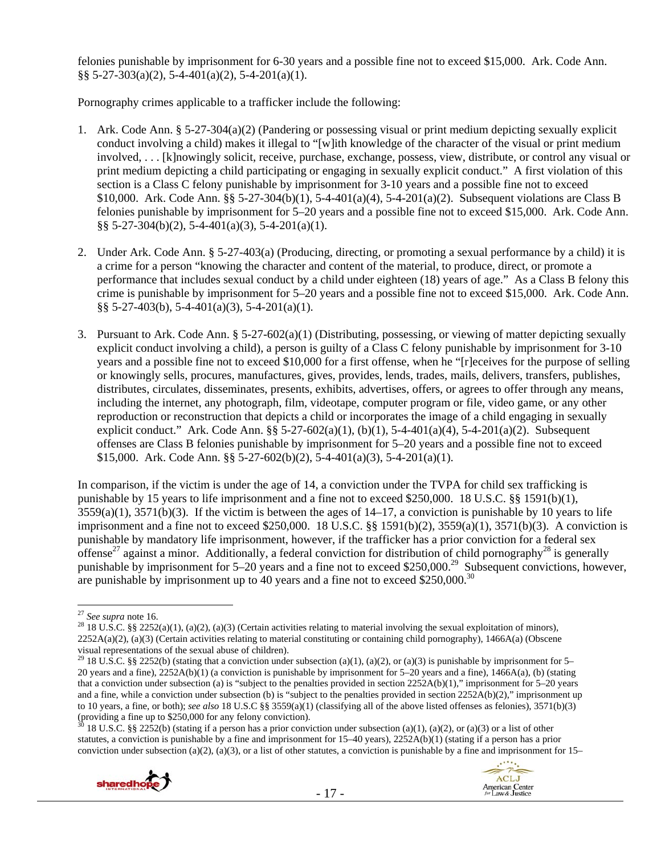felonies punishable by imprisonment for 6-30 years and a possible fine not to exceed \$15,000. Ark. Code Ann.  $\S$ § 5-27-303(a)(2), 5-4-401(a)(2), 5-4-201(a)(1).

Pornography crimes applicable to a trafficker include the following:

- 1. Ark. Code Ann. § 5-27-304(a)(2) (Pandering or possessing visual or print medium depicting sexually explicit conduct involving a child) makes it illegal to "[w]ith knowledge of the character of the visual or print medium involved, . . . [k]nowingly solicit, receive, purchase, exchange, possess, view, distribute, or control any visual or print medium depicting a child participating or engaging in sexually explicit conduct." A first violation of this section is a Class C felony punishable by imprisonment for 3-10 years and a possible fine not to exceed \$10,000. Ark. Code Ann. §§ 5-27-304(b)(1), 5-4-401(a)(4), 5-4-201(a)(2). Subsequent violations are Class B felonies punishable by imprisonment for 5–20 years and a possible fine not to exceed \$15,000. Ark. Code Ann. §§ 5-27-304(b)(2), 5-4-401(a)(3), 5-4-201(a)(1).
- 2. Under Ark. Code Ann. § 5-27-403(a) (Producing, directing, or promoting a sexual performance by a child) it is a crime for a person "knowing the character and content of the material, to produce, direct, or promote a performance that includes sexual conduct by a child under eighteen (18) years of age." As a Class B felony this crime is punishable by imprisonment for 5–20 years and a possible fine not to exceed \$15,000. Ark. Code Ann. §§ 5-27-403(b), 5-4-401(a)(3), 5-4-201(a)(1).
- 3. Pursuant to Ark. Code Ann. § 5-27-602(a)(1) (Distributing, possessing, or viewing of matter depicting sexually explicit conduct involving a child), a person is guilty of a Class C felony punishable by imprisonment for 3-10 years and a possible fine not to exceed \$10,000 for a first offense, when he "[r]eceives for the purpose of selling or knowingly sells, procures, manufactures, gives, provides, lends, trades, mails, delivers, transfers, publishes, distributes, circulates, disseminates, presents, exhibits, advertises, offers, or agrees to offer through any means, including the internet, any photograph, film, videotape, computer program or file, video game, or any other reproduction or reconstruction that depicts a child or incorporates the image of a child engaging in sexually explicit conduct." Ark. Code Ann. §§ 5-27-602(a)(1), (b)(1), 5-4-401(a)(4), 5-4-201(a)(2). Subsequent offenses are Class B felonies punishable by imprisonment for 5–20 years and a possible fine not to exceed \$15,000. Ark. Code Ann. §§ 5-27-602(b)(2), 5-4-401(a)(3), 5-4-201(a)(1).

In comparison, if the victim is under the age of 14, a conviction under the TVPA for child sex trafficking is punishable by 15 years to life imprisonment and a fine not to exceed \$250,000. 18 U.S.C. §§ 1591(b)(1),  $3559(a)(1)$ ,  $3571(b)(3)$ . If the victim is between the ages of  $14-17$ , a conviction is punishable by 10 years to life imprisonment and a fine not to exceed \$250,000. 18 U.S.C.  $\S$  1591(b)(2), 3559(a)(1), 3571(b)(3). A conviction is punishable by mandatory life imprisonment, however, if the trafficker has a prior conviction for a federal sex offense<sup>27</sup> against a minor. Additionally, a federal conviction for distribution of child pornography<sup>28</sup> is generally punishable by imprisonment for 5–20 years and a fine not to exceed \$250,000.<sup>29</sup> Subsequent convictions, however, are punishable by imprisonment up to 40 years and a fine not to exceed  $$250,000.<sup>30</sup>$ 

<sup>28</sup> 18 U.S.C. §§ 2252(a)(1), (a)(2), (a)(3) (Certain activities relating to material involving the sexual exploitation of minors),  $2252A(a)(2)$ , (a)(3) (Certain activities relating to material constituting or containing child pornography), 1466A(a) (Obscene visual representations of the sexual abuse of children).

<sup>30 18</sup> U.S.C. §§ 2252(b) (stating if a person has a prior conviction under subsection (a)(1), (a)(2), or (a)(3) or a list of other statutes, a conviction is punishable by a fine and imprisonment for 15–40 years), 2252A(b)(1) (stating if a person has a prior conviction under subsection (a)(2), (a)(3), or a list of other statutes, a conviction is punishable by a fine and imprisonment for  $15-$ 





 $27$  See supra note 16.

<sup>&</sup>lt;sup>29</sup> 18 U.S.C. §§ 2252(b) (stating that a conviction under subsection (a)(1), (a)(2), or (a)(3) is punishable by imprisonment for 5– 20 years and a fine), 2252A(b)(1) (a conviction is punishable by imprisonment for 5–20 years and a fine), 1466A(a), (b) (stating that a conviction under subsection (a) is "subject to the penalties provided in section 2252A(b)(1)," imprisonment for 5–20 years and a fine, while a conviction under subsection (b) is "subject to the penalties provided in section 2252A(b)(2)," imprisonment up to 10 years, a fine, or both); *see also* 18 U.S.C §§ 3559(a)(1) (classifying all of the above listed offenses as felonies), 3571(b)(3) (providing a fine up to \$250,000 for any felony conviction).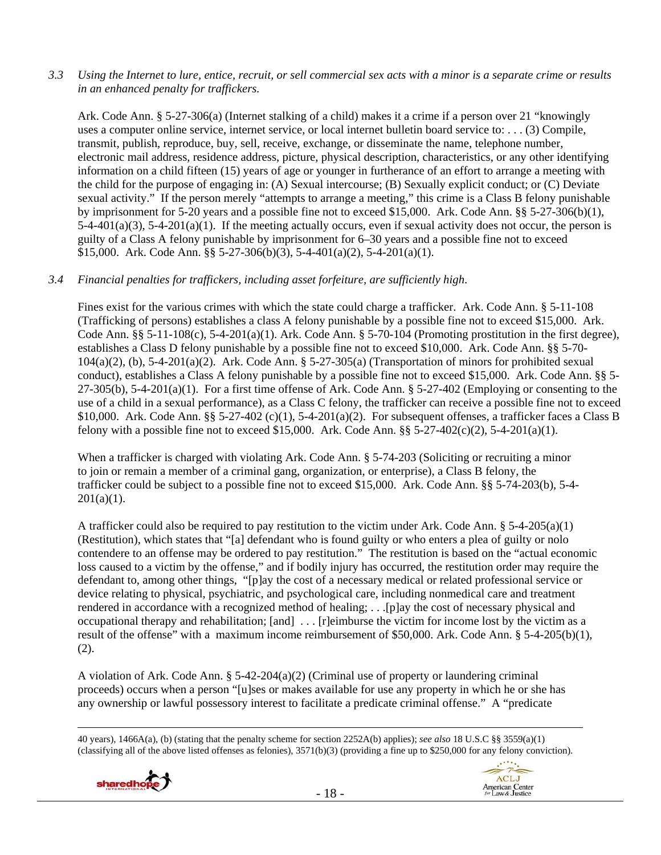*3.3 Using the Internet to lure, entice, recruit, or sell commercial sex acts with a minor is a separate crime or results in an enhanced penalty for traffickers.* 

Ark. Code Ann. § 5-27-306(a) (Internet stalking of a child) makes it a crime if a person over 21 "knowingly uses a computer online service, internet service, or local internet bulletin board service to: . . . (3) Compile, transmit, publish, reproduce, buy, sell, receive, exchange, or disseminate the name, telephone number, electronic mail address, residence address, picture, physical description, characteristics, or any other identifying information on a child fifteen (15) years of age or younger in furtherance of an effort to arrange a meeting with the child for the purpose of engaging in: (A) Sexual intercourse; (B) Sexually explicit conduct; or (C) Deviate sexual activity." If the person merely "attempts to arrange a meeting," this crime is a Class B felony punishable by imprisonment for 5-20 years and a possible fine not to exceed \$15,000. Ark. Code Ann. §§ 5-27-306(b)(1),  $5-4-401(a)(3)$ ,  $5-4-201(a)(1)$ . If the meeting actually occurs, even if sexual activity does not occur, the person is guilty of a Class A felony punishable by imprisonment for 6–30 years and a possible fine not to exceed \$15,000. Ark. Code Ann. §§ 5-27-306(b)(3), 5-4-401(a)(2), 5-4-201(a)(1).

# *3.4 Financial penalties for traffickers, including asset forfeiture, are sufficiently high*.

Fines exist for the various crimes with which the state could charge a trafficker. Ark. Code Ann. § 5-11-108 (Trafficking of persons) establishes a class A felony punishable by a possible fine not to exceed \$15,000. Ark. Code Ann. §§ 5-11-108(c), 5-4-201(a)(1). Ark. Code Ann. § 5-70-104 (Promoting prostitution in the first degree), establishes a Class D felony punishable by a possible fine not to exceed \$10,000. Ark. Code Ann. §§ 5-70- 104(a)(2), (b), 5-4-201(a)(2). Ark. Code Ann. § 5-27-305(a) (Transportation of minors for prohibited sexual conduct), establishes a Class A felony punishable by a possible fine not to exceed \$15,000. Ark. Code Ann. §§ 5-  $27-305(b)$ ,  $5-4-201(a)(1)$ . For a first time offense of Ark. Code Ann. §  $5-27-402$  (Employing or consenting to the use of a child in a sexual performance), as a Class C felony, the trafficker can receive a possible fine not to exceed \$10,000. Ark. Code Ann. §§ 5-27-402 (c)(1), 5-4-201(a)(2). For subsequent offenses, a trafficker faces a Class B felony with a possible fine not to exceed \$15,000. Ark. Code Ann.  $\S$ § 5-27-402(c)(2), 5-4-201(a)(1).

When a trafficker is charged with violating Ark. Code Ann. § 5-74-203 (Soliciting or recruiting a minor to join or remain a member of a criminal gang, organization, or enterprise), a Class B felony, the trafficker could be subject to a possible fine not to exceed \$15,000. Ark. Code Ann. §§ 5-74-203(b), 5-4-  $201(a)(1)$ .

A trafficker could also be required to pay restitution to the victim under Ark. Code Ann.  $\S$  5-4-205(a)(1) (Restitution), which states that "[a] defendant who is found guilty or who enters a plea of guilty or nolo contendere to an offense may be ordered to pay restitution." The restitution is based on the "actual economic loss caused to a victim by the offense," and if bodily injury has occurred, the restitution order may require the defendant to, among other things, "[p]ay the cost of a necessary medical or related professional service or device relating to physical, psychiatric, and psychological care, including nonmedical care and treatment rendered in accordance with a recognized method of healing; . . .[p]ay the cost of necessary physical and occupational therapy and rehabilitation; [and] . . . [r]eimburse the victim for income lost by the victim as a result of the offense" with a maximum income reimbursement of \$50,000. Ark. Code Ann. § 5-4-205(b)(1), (2).

A violation of Ark. Code Ann. § 5-42-204(a)(2) (Criminal use of property or laundering criminal proceeds) occurs when a person "[u]ses or makes available for use any property in which he or she has any ownership or lawful possessory interest to facilitate a predicate criminal offense." A "predicate

- 18 -





 <sup>40</sup> years), 1466A(a), (b) (stating that the penalty scheme for section 2252A(b) applies); *see also* 18 U.S.C §§ 3559(a)(1) (classifying all of the above listed offenses as felonies), 3571(b)(3) (providing a fine up to \$250,000 for any felony conviction).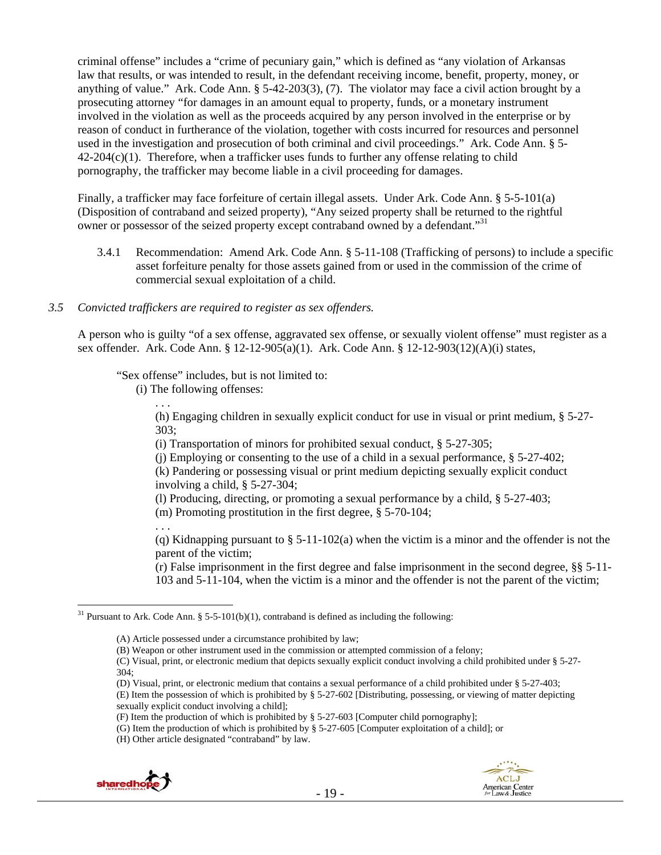criminal offense" includes a "crime of pecuniary gain," which is defined as "any violation of Arkansas law that results, or was intended to result, in the defendant receiving income, benefit, property, money, or anything of value." Ark. Code Ann. § 5-42-203(3), (7). The violator may face a civil action brought by a prosecuting attorney "for damages in an amount equal to property, funds, or a monetary instrument involved in the violation as well as the proceeds acquired by any person involved in the enterprise or by reason of conduct in furtherance of the violation, together with costs incurred for resources and personnel used in the investigation and prosecution of both criminal and civil proceedings." Ark. Code Ann. § 5-  $42-204(c)(1)$ . Therefore, when a trafficker uses funds to further any offense relating to child pornography, the trafficker may become liable in a civil proceeding for damages.

Finally, a trafficker may face forfeiture of certain illegal assets. Under Ark. Code Ann. § 5-5-101(a) (Disposition of contraband and seized property), "Any seized property shall be returned to the rightful owner or possessor of the seized property except contraband owned by a defendant."<sup>31</sup>

3.4.1 Recommendation: Amend Ark. Code Ann. § 5-11-108 (Trafficking of persons) to include a specific asset forfeiture penalty for those assets gained from or used in the commission of the crime of commercial sexual exploitation of a child.

#### *3.5 Convicted traffickers are required to register as sex offenders.*

A person who is guilty "of a sex offense, aggravated sex offense, or sexually violent offense" must register as a sex offender. Ark. Code Ann. § 12-12-905(a)(1). Ark. Code Ann. § 12-12-903(12)(A)(i) states,

"Sex offense" includes, but is not limited to:

(i) The following offenses:

. . . (h) Engaging children in sexually explicit conduct for use in visual or print medium, § 5-27- 303;

(i) Transportation of minors for prohibited sexual conduct, § 5-27-305;

(j) Employing or consenting to the use of a child in a sexual performance, § 5-27-402;

(k) Pandering or possessing visual or print medium depicting sexually explicit conduct involving a child, § 5-27-304;

(l) Producing, directing, or promoting a sexual performance by a child, § 5-27-403;

(m) Promoting prostitution in the first degree, § 5-70-104;

. . .

(q) Kidnapping pursuant to § 5-11-102(a) when the victim is a minor and the offender is not the parent of the victim;

(r) False imprisonment in the first degree and false imprisonment in the second degree, §§ 5-11- 103 and 5-11-104, when the victim is a minor and the offender is not the parent of the victim;

(C) Visual, print, or electronic medium that depicts sexually explicit conduct involving a child prohibited under § 5-27- 304;

(D) Visual, print, or electronic medium that contains a sexual performance of a child prohibited under § 5-27-403;

(E) Item the possession of which is prohibited by § 5-27-602 [Distributing, possessing, or viewing of matter depicting sexually explicit conduct involving a child];

<sup>(</sup>H) Other article designated "contraband" by law.



 $\overline{a}$ <sup>31</sup> Pursuant to Ark. Code Ann. § 5-5-101(b)(1), contraband is defined as including the following:

<sup>(</sup>A) Article possessed under a circumstance prohibited by law;

<sup>(</sup>B) Weapon or other instrument used in the commission or attempted commission of a felony;

<sup>(</sup>F) Item the production of which is prohibited by § 5-27-603 [Computer child pornography];

<sup>(</sup>G) Item the production of which is prohibited by § 5-27-605 [Computer exploitation of a child]; or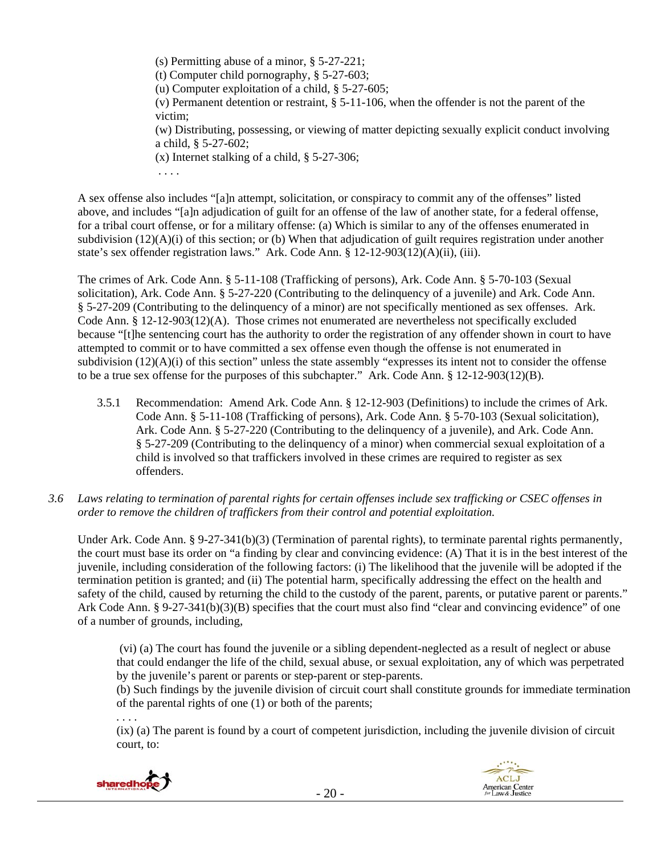(s) Permitting abuse of a minor, § 5-27-221; (t) Computer child pornography, § 5-27-603; (u) Computer exploitation of a child, § 5-27-605; (v) Permanent detention or restraint, § 5-11-106, when the offender is not the parent of the victim; (w) Distributing, possessing, or viewing of matter depicting sexually explicit conduct involving a child, § 5-27-602; (x) Internet stalking of a child, § 5-27-306; . . . .

A sex offense also includes "[a]n attempt, solicitation, or conspiracy to commit any of the offenses" listed above, and includes "[a]n adjudication of guilt for an offense of the law of another state, for a federal offense, for a tribal court offense, or for a military offense: (a) Which is similar to any of the offenses enumerated in subdivision  $(12)(A)(i)$  of this section; or (b) When that adjudication of guilt requires registration under another state's sex offender registration laws." Ark. Code Ann. § 12-12-903(12)(A)(ii), (iii).

The crimes of Ark. Code Ann. § 5-11-108 (Trafficking of persons), Ark. Code Ann. § 5-70-103 (Sexual solicitation), Ark. Code Ann. § 5-27-220 (Contributing to the delinquency of a juvenile) and Ark. Code Ann. § 5-27-209 (Contributing to the delinquency of a minor) are not specifically mentioned as sex offenses. Ark. Code Ann. § 12-12-903(12)(A). Those crimes not enumerated are nevertheless not specifically excluded because "[t]he sentencing court has the authority to order the registration of any offender shown in court to have attempted to commit or to have committed a sex offense even though the offense is not enumerated in subdivision  $(12)(A)(i)$  of this section" unless the state assembly "expresses its intent not to consider the offense to be a true sex offense for the purposes of this subchapter." Ark. Code Ann. § 12-12-903(12)(B).

- 3.5.1 Recommendation: Amend Ark. Code Ann. § 12-12-903 (Definitions) to include the crimes of Ark. Code Ann. § 5-11-108 (Trafficking of persons), Ark. Code Ann. § 5-70-103 (Sexual solicitation), Ark. Code Ann. § 5-27-220 (Contributing to the delinquency of a juvenile), and Ark. Code Ann. § 5-27-209 (Contributing to the delinquency of a minor) when commercial sexual exploitation of a child is involved so that traffickers involved in these crimes are required to register as sex offenders.
- *3.6 Laws relating to termination of parental rights for certain offenses include sex trafficking or CSEC offenses in order to remove the children of traffickers from their control and potential exploitation.*

Under Ark. Code Ann. § 9-27-341(b)(3) (Termination of parental rights), to terminate parental rights permanently, the court must base its order on "a finding by clear and convincing evidence: (A) That it is in the best interest of the juvenile, including consideration of the following factors: (i) The likelihood that the juvenile will be adopted if the termination petition is granted; and (ii) The potential harm, specifically addressing the effect on the health and safety of the child, caused by returning the child to the custody of the parent, parents, or putative parent or parents." Ark Code Ann. § 9-27-341(b)(3)(B) specifies that the court must also find "clear and convincing evidence" of one of a number of grounds, including,

 (vi) (a) The court has found the juvenile or a sibling dependent-neglected as a result of neglect or abuse that could endanger the life of the child, sexual abuse, or sexual exploitation, any of which was perpetrated by the juvenile's parent or parents or step-parent or step-parents.

(b) Such findings by the juvenile division of circuit court shall constitute grounds for immediate termination of the parental rights of one (1) or both of the parents;

. . . .

(ix) (a) The parent is found by a court of competent jurisdiction, including the juvenile division of circuit court, to:



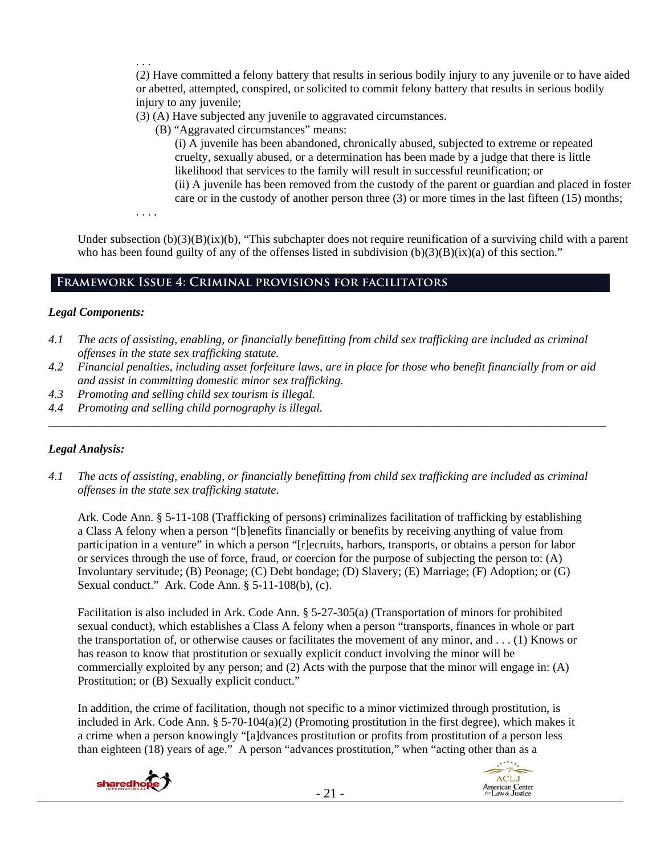. . . (2) Have committed a felony battery that results in serious bodily injury to any juvenile or to have aided or abetted, attempted, conspired, or solicited to commit felony battery that results in serious bodily injury to any juvenile;

(3) (A) Have subjected any juvenile to aggravated circumstances.

(B) "Aggravated circumstances" means:

(i) A juvenile has been abandoned, chronically abused, subjected to extreme or repeated cruelty, sexually abused, or a determination has been made by a judge that there is little likelihood that services to the family will result in successful reunification; or (ii) A juvenile has been removed from the custody of the parent or guardian and placed in foster care or in the custody of another person three (3) or more times in the last fifteen (15) months;

. . . .

Under subsection  $(b)(3)(B)(ix)(b)$ , "This subchapter does not require reunification of a surviving child with a parent who has been found guilty of any of the offenses listed in subdivision  $(b)(3)(B)(ix)(a)$  of this section."

# **Framework Issue 4: Criminal provisions for facilitators**

# *Legal Components:*

- *4.1 The acts of assisting, enabling, or financially benefitting from child sex trafficking are included as criminal offenses in the state sex trafficking statute.*
- *4.2 Financial penalties, including asset forfeiture laws, are in place for those who benefit financially from or aid and assist in committing domestic minor sex trafficking.*

*\_\_\_\_\_\_\_\_\_\_\_\_\_\_\_\_\_\_\_\_\_\_\_\_\_\_\_\_\_\_\_\_\_\_\_\_\_\_\_\_\_\_\_\_\_\_\_\_\_\_\_\_\_\_\_\_\_\_\_\_\_\_\_\_\_\_\_\_\_\_\_\_\_\_\_\_\_\_\_\_\_\_\_\_\_\_\_\_\_\_\_\_\_\_* 

- *4.3 Promoting and selling child sex tourism is illegal.*
- *4.4 Promoting and selling child pornography is illegal.*

# *Legal Analysis:*

*4.1 The acts of assisting, enabling, or financially benefitting from child sex trafficking are included as criminal offenses in the state sex trafficking statute*.

Ark. Code Ann. § 5-11-108 (Trafficking of persons) criminalizes facilitation of trafficking by establishing a Class A felony when a person "[b]enefits financially or benefits by receiving anything of value from participation in a venture" in which a person "[r]ecruits, harbors, transports, or obtains a person for labor or services through the use of force, fraud, or coercion for the purpose of subjecting the person to: (A) Involuntary servitude; (B) Peonage; (C) Debt bondage; (D) Slavery; (E) Marriage; (F) Adoption; or (G) Sexual conduct." Ark. Code Ann. § 5-11-108(b), (c).

Facilitation is also included in Ark. Code Ann. § 5-27-305(a) (Transportation of minors for prohibited sexual conduct), which establishes a Class A felony when a person "transports, finances in whole or part the transportation of, or otherwise causes or facilitates the movement of any minor, and . . . (1) Knows or has reason to know that prostitution or sexually explicit conduct involving the minor will be commercially exploited by any person; and (2) Acts with the purpose that the minor will engage in: (A) Prostitution; or (B) Sexually explicit conduct."

In addition, the crime of facilitation, though not specific to a minor victimized through prostitution, is included in Ark. Code Ann. §  $5-70-104(a)(2)$  (Promoting prostitution in the first degree), which makes it a crime when a person knowingly "[a]dvances prostitution or profits from prostitution of a person less than eighteen (18) years of age." A person "advances prostitution," when "acting other than as a



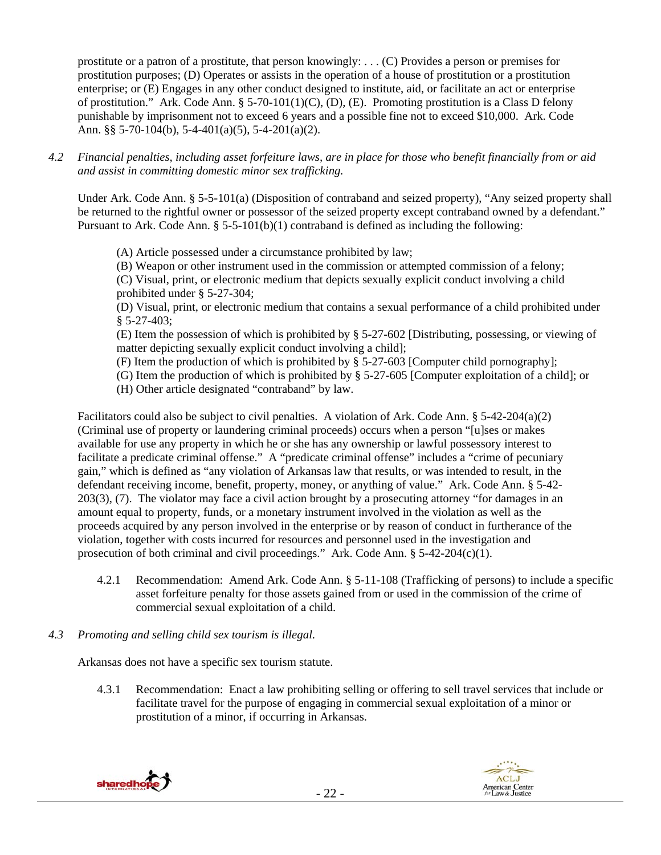prostitute or a patron of a prostitute, that person knowingly: . . . (C) Provides a person or premises for prostitution purposes; (D) Operates or assists in the operation of a house of prostitution or a prostitution enterprise; or (E) Engages in any other conduct designed to institute, aid, or facilitate an act or enterprise of prostitution." Ark. Code Ann. § 5-70-101(1)(C), (D), (E). Promoting prostitution is a Class D felony punishable by imprisonment not to exceed 6 years and a possible fine not to exceed \$10,000. Ark. Code Ann. §§ 5-70-104(b), 5-4-401(a)(5), 5-4-201(a)(2).

*4.2 Financial penalties, including asset forfeiture laws, are in place for those who benefit financially from or aid and assist in committing domestic minor sex trafficking.* 

Under Ark. Code Ann. § 5-5-101(a) (Disposition of contraband and seized property), "Any seized property shall be returned to the rightful owner or possessor of the seized property except contraband owned by a defendant." Pursuant to Ark. Code Ann.  $\S 5-5-101(b)(1)$  contraband is defined as including the following:

- (A) Article possessed under a circumstance prohibited by law;
- (B) Weapon or other instrument used in the commission or attempted commission of a felony;

(C) Visual, print, or electronic medium that depicts sexually explicit conduct involving a child prohibited under § 5-27-304;

(D) Visual, print, or electronic medium that contains a sexual performance of a child prohibited under § 5-27-403;

(E) Item the possession of which is prohibited by § 5-27-602 [Distributing, possessing, or viewing of matter depicting sexually explicit conduct involving a child];

(F) Item the production of which is prohibited by § 5-27-603 [Computer child pornography];

(G) Item the production of which is prohibited by § 5-27-605 [Computer exploitation of a child]; or

(H) Other article designated "contraband" by law.

Facilitators could also be subject to civil penalties. A violation of Ark. Code Ann. § 5-42-204(a)(2) (Criminal use of property or laundering criminal proceeds) occurs when a person "[u]ses or makes available for use any property in which he or she has any ownership or lawful possessory interest to facilitate a predicate criminal offense." A "predicate criminal offense" includes a "crime of pecuniary gain," which is defined as "any violation of Arkansas law that results, or was intended to result, in the defendant receiving income, benefit, property, money, or anything of value." Ark. Code Ann. § 5-42- 203(3), (7). The violator may face a civil action brought by a prosecuting attorney "for damages in an amount equal to property, funds, or a monetary instrument involved in the violation as well as the proceeds acquired by any person involved in the enterprise or by reason of conduct in furtherance of the violation, together with costs incurred for resources and personnel used in the investigation and prosecution of both criminal and civil proceedings." Ark. Code Ann.  $\S$  5-42-204(c)(1).

- 4.2.1 Recommendation: Amend Ark. Code Ann. § 5-11-108 (Trafficking of persons) to include a specific asset forfeiture penalty for those assets gained from or used in the commission of the crime of commercial sexual exploitation of a child.
- *4.3 Promoting and selling child sex tourism is illegal*.

Arkansas does not have a specific sex tourism statute.

4.3.1 Recommendation: Enact a law prohibiting selling or offering to sell travel services that include or facilitate travel for the purpose of engaging in commercial sexual exploitation of a minor or prostitution of a minor, if occurring in Arkansas.



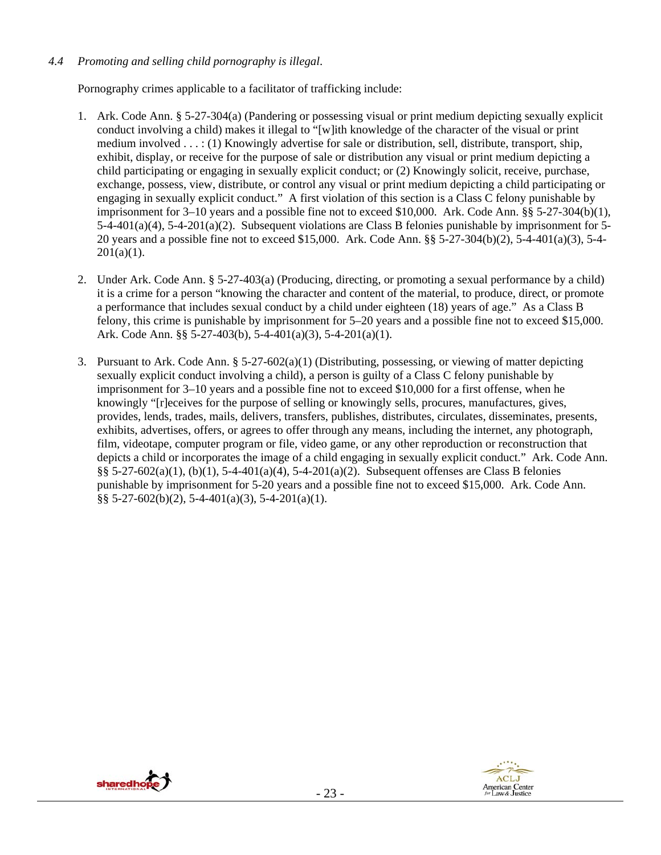# *4.4 Promoting and selling child pornography is illegal*.

Pornography crimes applicable to a facilitator of trafficking include:

- 1. Ark. Code Ann. § 5-27-304(a) (Pandering or possessing visual or print medium depicting sexually explicit conduct involving a child) makes it illegal to "[w]ith knowledge of the character of the visual or print medium involved . . . : (1) Knowingly advertise for sale or distribution, sell, distribute, transport, ship, exhibit, display, or receive for the purpose of sale or distribution any visual or print medium depicting a child participating or engaging in sexually explicit conduct; or (2) Knowingly solicit, receive, purchase, exchange, possess, view, distribute, or control any visual or print medium depicting a child participating or engaging in sexually explicit conduct." A first violation of this section is a Class C felony punishable by imprisonment for  $3-10$  years and a possible fine not to exceed \$10,000. Ark. Code Ann. §§  $5-27-304(b)(1)$ , 5-4-401(a)(4), 5-4-201(a)(2). Subsequent violations are Class B felonies punishable by imprisonment for 5- 20 years and a possible fine not to exceed \$15,000. Ark. Code Ann. §§ 5-27-304(b)(2), 5-4-401(a)(3), 5-4-  $201(a)(1)$ .
- 2. Under Ark. Code Ann. § 5-27-403(a) (Producing, directing, or promoting a sexual performance by a child) it is a crime for a person "knowing the character and content of the material, to produce, direct, or promote a performance that includes sexual conduct by a child under eighteen (18) years of age." As a Class B felony, this crime is punishable by imprisonment for 5–20 years and a possible fine not to exceed \$15,000. Ark. Code Ann. §§ 5-27-403(b), 5-4-401(a)(3), 5-4-201(a)(1).
- 3. Pursuant to Ark. Code Ann.  $\S 5-27-602(a)(1)$  (Distributing, possessing, or viewing of matter depicting sexually explicit conduct involving a child), a person is guilty of a Class C felony punishable by imprisonment for 3–10 years and a possible fine not to exceed \$10,000 for a first offense, when he knowingly "[r]eceives for the purpose of selling or knowingly sells, procures, manufactures, gives, provides, lends, trades, mails, delivers, transfers, publishes, distributes, circulates, disseminates, presents, exhibits, advertises, offers, or agrees to offer through any means, including the internet, any photograph, film, videotape, computer program or file, video game, or any other reproduction or reconstruction that depicts a child or incorporates the image of a child engaging in sexually explicit conduct." Ark. Code Ann. §§ 5-27-602(a)(1), (b)(1), 5-4-401(a)(4), 5-4-201(a)(2). Subsequent offenses are Class B felonies punishable by imprisonment for 5-20 years and a possible fine not to exceed \$15,000. Ark. Code Ann. §§ 5-27-602(b)(2), 5-4-401(a)(3), 5-4-201(a)(1).



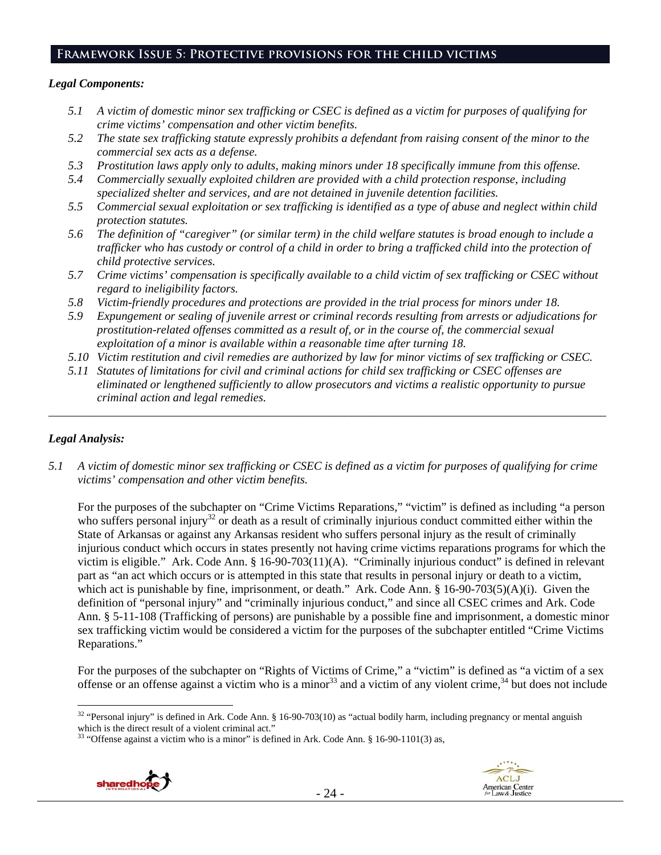# **Framework Issue 5: Protective provisions for the child victims**

#### *Legal Components:*

- *5.1 A victim of domestic minor sex trafficking or CSEC is defined as a victim for purposes of qualifying for crime victims' compensation and other victim benefits.*
- *5.2 The state sex trafficking statute expressly prohibits a defendant from raising consent of the minor to the commercial sex acts as a defense.*
- *5.3 Prostitution laws apply only to adults, making minors under 18 specifically immune from this offense.*
- *5.4 Commercially sexually exploited children are provided with a child protection response, including specialized shelter and services, and are not detained in juvenile detention facilities.*
- *5.5 Commercial sexual exploitation or sex trafficking is identified as a type of abuse and neglect within child protection statutes.*
- *5.6 The definition of "caregiver" (or similar term) in the child welfare statutes is broad enough to include a trafficker who has custody or control of a child in order to bring a trafficked child into the protection of child protective services.*
- *5.7 Crime victims' compensation is specifically available to a child victim of sex trafficking or CSEC without regard to ineligibility factors.*
- *5.8 Victim-friendly procedures and protections are provided in the trial process for minors under 18.*
- *5.9 Expungement or sealing of juvenile arrest or criminal records resulting from arrests or adjudications for prostitution-related offenses committed as a result of, or in the course of, the commercial sexual exploitation of a minor is available within a reasonable time after turning 18.*
- *5.10 Victim restitution and civil remedies are authorized by law for minor victims of sex trafficking or CSEC.*
- *5.11 Statutes of limitations for civil and criminal actions for child sex trafficking or CSEC offenses are eliminated or lengthened sufficiently to allow prosecutors and victims a realistic opportunity to pursue criminal action and legal remedies.*

*\_\_\_\_\_\_\_\_\_\_\_\_\_\_\_\_\_\_\_\_\_\_\_\_\_\_\_\_\_\_\_\_\_\_\_\_\_\_\_\_\_\_\_\_\_\_\_\_\_\_\_\_\_\_\_\_\_\_\_\_\_\_\_\_\_\_\_\_\_\_\_\_\_\_\_\_\_\_\_\_\_\_\_\_\_\_\_\_\_\_\_\_\_\_* 

# *Legal Analysis:*

*5.1 A victim of domestic minor sex trafficking or CSEC is defined as a victim for purposes of qualifying for crime victims' compensation and other victim benefits.* 

For the purposes of the subchapter on "Crime Victims Reparations," "victim" is defined as including "a person who suffers personal injury<sup>32</sup> or death as a result of criminally injurious conduct committed either within the State of Arkansas or against any Arkansas resident who suffers personal injury as the result of criminally injurious conduct which occurs in states presently not having crime victims reparations programs for which the victim is eligible." Ark. Code Ann. § 16-90-703(11)(A). "Criminally injurious conduct" is defined in relevant part as "an act which occurs or is attempted in this state that results in personal injury or death to a victim, which act is punishable by fine, imprisonment, or death." Ark. Code Ann. § 16-90-703(5)(A)(i). Given the definition of "personal injury" and "criminally injurious conduct," and since all CSEC crimes and Ark. Code Ann. § 5-11-108 (Trafficking of persons) are punishable by a possible fine and imprisonment, a domestic minor sex trafficking victim would be considered a victim for the purposes of the subchapter entitled "Crime Victims Reparations."

For the purposes of the subchapter on "Rights of Victims of Crime," a "victim" is defined as "a victim of a sex offense or an offense against a victim who is a minor<sup>33</sup> and a victim of any violent crime,<sup>34</sup> but does not include

<sup>&</sup>lt;sup>33</sup> "Offense against a victim who is a minor" is defined in Ark. Code Ann. § 16-90-1101(3) as,



 $\overline{a}$ <sup>32</sup> "Personal injury" is defined in Ark. Code Ann. § 16-90-703(10) as "actual bodily harm, including pregnancy or mental anguish which is the direct result of a violent criminal act."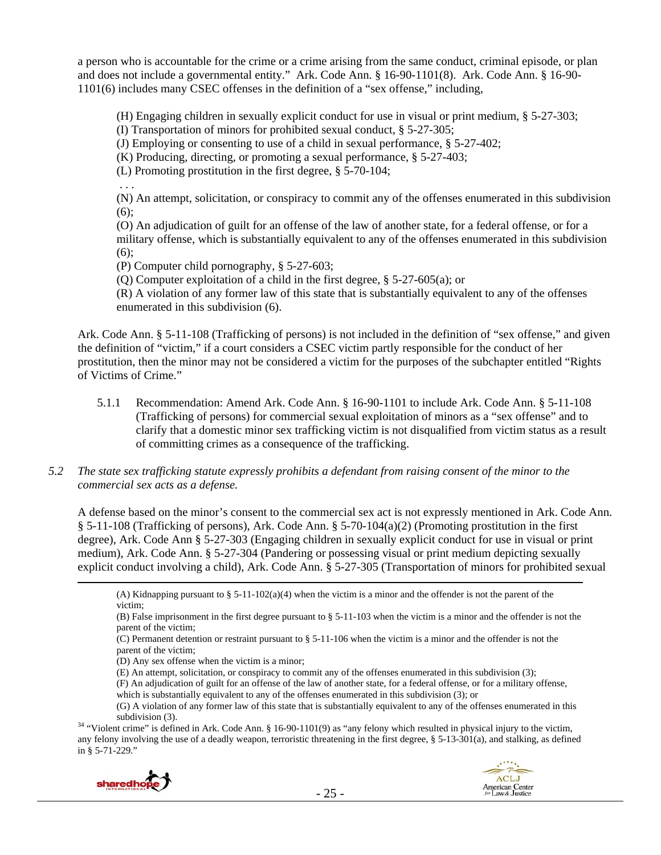a person who is accountable for the crime or a crime arising from the same conduct, criminal episode, or plan and does not include a governmental entity." Ark. Code Ann. § 16-90-1101(8). Ark. Code Ann. § 16-90- 1101(6) includes many CSEC offenses in the definition of a "sex offense," including,

(H) Engaging children in sexually explicit conduct for use in visual or print medium, § 5-27-303;

(I) Transportation of minors for prohibited sexual conduct, § 5-27-305;

(J) Employing or consenting to use of a child in sexual performance, § 5-27-402;

(K) Producing, directing, or promoting a sexual performance, § 5-27-403;

(L) Promoting prostitution in the first degree, § 5-70-104;

. . .

(N) An attempt, solicitation, or conspiracy to commit any of the offenses enumerated in this subdivision (6);

(O) An adjudication of guilt for an offense of the law of another state, for a federal offense, or for a military offense, which is substantially equivalent to any of the offenses enumerated in this subdivision (6);

(P) Computer child pornography, § 5-27-603;

(Q) Computer exploitation of a child in the first degree, § 5-27-605(a); or

(R) A violation of any former law of this state that is substantially equivalent to any of the offenses enumerated in this subdivision (6).

Ark. Code Ann. § 5-11-108 (Trafficking of persons) is not included in the definition of "sex offense," and given the definition of "victim," if a court considers a CSEC victim partly responsible for the conduct of her prostitution, then the minor may not be considered a victim for the purposes of the subchapter entitled "Rights of Victims of Crime."

- 5.1.1 Recommendation: Amend Ark. Code Ann. § 16-90-1101 to include Ark. Code Ann. § 5-11-108 (Trafficking of persons) for commercial sexual exploitation of minors as a "sex offense" and to clarify that a domestic minor sex trafficking victim is not disqualified from victim status as a result of committing crimes as a consequence of the trafficking.
- *5.2 The state sex trafficking statute expressly prohibits a defendant from raising consent of the minor to the commercial sex acts as a defense.*

A defense based on the minor's consent to the commercial sex act is not expressly mentioned in Ark. Code Ann. § 5-11-108 (Trafficking of persons), Ark. Code Ann. § 5-70-104(a)(2) (Promoting prostitution in the first degree), Ark. Code Ann § 5-27-303 (Engaging children in sexually explicit conduct for use in visual or print medium), Ark. Code Ann. § 5-27-304 (Pandering or possessing visual or print medium depicting sexually explicit conduct involving a child), Ark. Code Ann. § 5-27-305 (Transportation of minors for prohibited sexual

(A) Kidnapping pursuant to § 5-11-102(a)(4) when the victim is a minor and the offender is not the parent of the victim;

(D) Any sex offense when the victim is a minor;

- (E) An attempt, solicitation, or conspiracy to commit any of the offenses enumerated in this subdivision (3);
- (F) An adjudication of guilt for an offense of the law of another state, for a federal offense, or for a military offense, which is substantially equivalent to any of the offenses enumerated in this subdivision (3); or

any felony involving the use of a deadly weapon, terroristic threatening in the first degree, § 5-13-301(a), and stalking, as defined in § 5-71-229."



<sup>(</sup>B) False imprisonment in the first degree pursuant to  $\S$  5-11-103 when the victim is a minor and the offender is not the parent of the victim;

<sup>(</sup>C) Permanent detention or restraint pursuant to § 5-11-106 when the victim is a minor and the offender is not the parent of the victim;

<sup>(</sup>G) A violation of any former law of this state that is substantially equivalent to any of the offenses enumerated in this subdivision (3). Subdivision (3).  $34$  "Violent crime" is defined in Ark. Code Ann. § 16-90-1101(9) as "any felony which resulted in physical injury to the victim,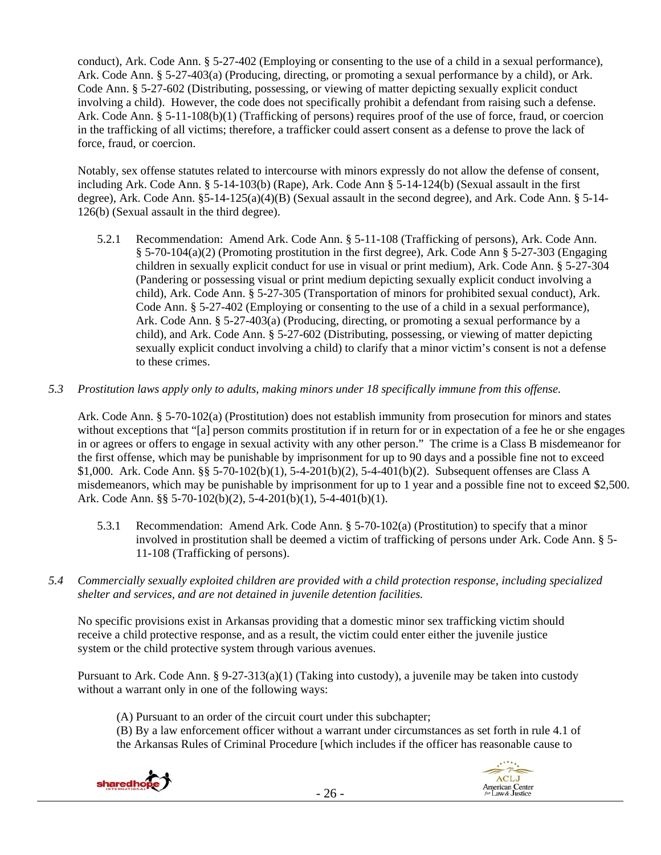conduct), Ark. Code Ann. § 5-27-402 (Employing or consenting to the use of a child in a sexual performance), Ark. Code Ann. § 5-27-403(a) (Producing, directing, or promoting a sexual performance by a child), or Ark. Code Ann. § 5-27-602 (Distributing, possessing, or viewing of matter depicting sexually explicit conduct involving a child). However, the code does not specifically prohibit a defendant from raising such a defense. Ark. Code Ann. § 5-11-108(b)(1) (Trafficking of persons) requires proof of the use of force, fraud, or coercion in the trafficking of all victims; therefore, a trafficker could assert consent as a defense to prove the lack of force, fraud, or coercion.

Notably, sex offense statutes related to intercourse with minors expressly do not allow the defense of consent, including Ark. Code Ann. § 5-14-103(b) (Rape), Ark. Code Ann § 5-14-124(b) (Sexual assault in the first degree), Ark. Code Ann. §5-14-125(a)(4)(B) (Sexual assault in the second degree), and Ark. Code Ann. § 5-14- 126(b) (Sexual assault in the third degree).

- 5.2.1 Recommendation: Amend Ark. Code Ann. § 5-11-108 (Trafficking of persons), Ark. Code Ann. § 5-70-104(a)(2) (Promoting prostitution in the first degree), Ark. Code Ann § 5-27-303 (Engaging children in sexually explicit conduct for use in visual or print medium), Ark. Code Ann. § 5-27-304 (Pandering or possessing visual or print medium depicting sexually explicit conduct involving a child), Ark. Code Ann. § 5-27-305 (Transportation of minors for prohibited sexual conduct), Ark. Code Ann. § 5-27-402 (Employing or consenting to the use of a child in a sexual performance), Ark. Code Ann. § 5-27-403(a) (Producing, directing, or promoting a sexual performance by a child), and Ark. Code Ann. § 5-27-602 (Distributing, possessing, or viewing of matter depicting sexually explicit conduct involving a child) to clarify that a minor victim's consent is not a defense to these crimes.
- *5.3 Prostitution laws apply only to adults, making minors under 18 specifically immune from this offense.*

Ark. Code Ann. § 5-70-102(a) (Prostitution) does not establish immunity from prosecution for minors and states without exceptions that "[a] person commits prostitution if in return for or in expectation of a fee he or she engages in or agrees or offers to engage in sexual activity with any other person." The crime is a Class B misdemeanor for the first offense, which may be punishable by imprisonment for up to 90 days and a possible fine not to exceed \$1,000. Ark. Code Ann. §§ 5-70-102(b)(1), 5-4-201(b)(2), 5-4-401(b)(2). Subsequent offenses are Class A misdemeanors, which may be punishable by imprisonment for up to 1 year and a possible fine not to exceed \$2,500. Ark. Code Ann. §§ 5-70-102(b)(2), 5-4-201(b)(1), 5-4-401(b)(1).

- 5.3.1 Recommendation: Amend Ark. Code Ann. § 5-70-102(a) (Prostitution) to specify that a minor involved in prostitution shall be deemed a victim of trafficking of persons under Ark. Code Ann. § 5- 11-108 (Trafficking of persons).
- *5.4 Commercially sexually exploited children are provided with a child protection response, including specialized shelter and services, and are not detained in juvenile detention facilities.*

No specific provisions exist in Arkansas providing that a domestic minor sex trafficking victim should receive a child protective response, and as a result, the victim could enter either the juvenile justice system or the child protective system through various avenues.

Pursuant to Ark. Code Ann. § 9-27-313(a)(1) (Taking into custody), a juvenile may be taken into custody without a warrant only in one of the following ways:

- (A) Pursuant to an order of the circuit court under this subchapter;
- (B) By a law enforcement officer without a warrant under circumstances as set forth in rule 4.1 of the Arkansas Rules of Criminal Procedure [which includes if the officer has reasonable cause to

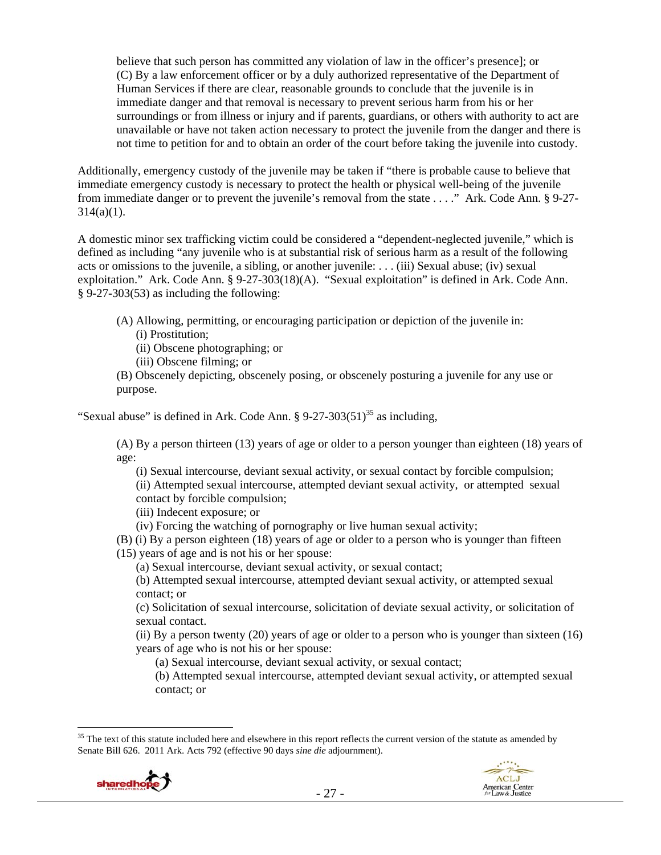believe that such person has committed any violation of law in the officer's presence]; or (C) By a law enforcement officer or by a duly authorized representative of the Department of Human Services if there are clear, reasonable grounds to conclude that the juvenile is in immediate danger and that removal is necessary to prevent serious harm from his or her surroundings or from illness or injury and if parents, guardians, or others with authority to act are unavailable or have not taken action necessary to protect the juvenile from the danger and there is not time to petition for and to obtain an order of the court before taking the juvenile into custody.

Additionally, emergency custody of the juvenile may be taken if "there is probable cause to believe that immediate emergency custody is necessary to protect the health or physical well-being of the juvenile from immediate danger or to prevent the juvenile's removal from the state . . . ." Ark. Code Ann. § 9-27-  $314(a)(1)$ .

A domestic minor sex trafficking victim could be considered a "dependent-neglected juvenile," which is defined as including "any juvenile who is at substantial risk of serious harm as a result of the following acts or omissions to the juvenile, a sibling, or another juvenile: . . . (iii) Sexual abuse; (iv) sexual exploitation." Ark. Code Ann. § 9-27-303(18)(A). "Sexual exploitation" is defined in Ark. Code Ann. § 9-27-303(53) as including the following:

- (A) Allowing, permitting, or encouraging participation or depiction of the juvenile in: (i) Prostitution;
	- (ii) Obscene photographing; or
	- (iii) Obscene filming; or
- (B) Obscenely depicting, obscenely posing, or obscenely posturing a juvenile for any use or purpose.

"Sexual abuse" is defined in Ark. Code Ann.  $\S 9-27-303(51)^{35}$  as including,

(A) By a person thirteen (13) years of age or older to a person younger than eighteen (18) years of age:

(i) Sexual intercourse, deviant sexual activity, or sexual contact by forcible compulsion; (ii) Attempted sexual intercourse, attempted deviant sexual activity, or attempted sexual

contact by forcible compulsion;

(iii) Indecent exposure; or

(iv) Forcing the watching of pornography or live human sexual activity;

(B) (i) By a person eighteen (18) years of age or older to a person who is younger than fifteen (15) years of age and is not his or her spouse:

(a) Sexual intercourse, deviant sexual activity, or sexual contact;

(b) Attempted sexual intercourse, attempted deviant sexual activity, or attempted sexual contact; or

(c) Solicitation of sexual intercourse, solicitation of deviate sexual activity, or solicitation of sexual contact.

(ii) By a person twenty (20) years of age or older to a person who is younger than sixteen (16) years of age who is not his or her spouse:

(a) Sexual intercourse, deviant sexual activity, or sexual contact;

(b) Attempted sexual intercourse, attempted deviant sexual activity, or attempted sexual contact; or

 $\overline{a}$ <sup>35</sup> The text of this statute included here and elsewhere in this report reflects the current version of the statute as amended by Senate Bill 626. 2011 Ark. Acts 792 (effective 90 days *sine die* adjournment).



**ACLJ** 

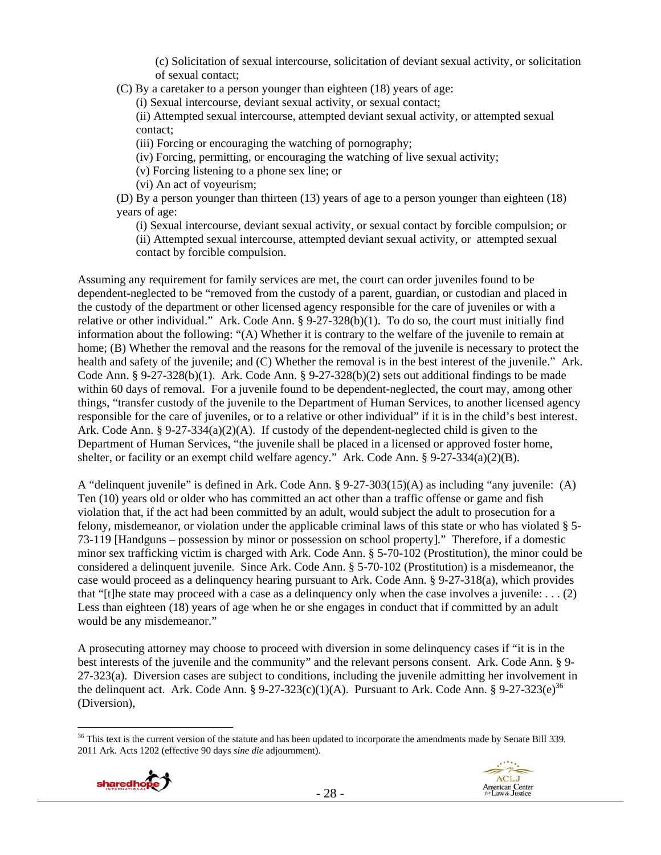(c) Solicitation of sexual intercourse, solicitation of deviant sexual activity, or solicitation of sexual contact;

(C) By a caretaker to a person younger than eighteen (18) years of age:

(i) Sexual intercourse, deviant sexual activity, or sexual contact;

(ii) Attempted sexual intercourse, attempted deviant sexual activity, or attempted sexual contact;

(iii) Forcing or encouraging the watching of pornography;

(iv) Forcing, permitting, or encouraging the watching of live sexual activity;

(v) Forcing listening to a phone sex line; or

(vi) An act of voyeurism;

(D) By a person younger than thirteen (13) years of age to a person younger than eighteen (18) years of age:

(i) Sexual intercourse, deviant sexual activity, or sexual contact by forcible compulsion; or (ii) Attempted sexual intercourse, attempted deviant sexual activity, or attempted sexual contact by forcible compulsion.

Assuming any requirement for family services are met, the court can order juveniles found to be dependent-neglected to be "removed from the custody of a parent, guardian, or custodian and placed in the custody of the department or other licensed agency responsible for the care of juveniles or with a relative or other individual." Ark. Code Ann.  $\S 9-27-328(b)(1)$ . To do so, the court must initially find information about the following: "(A) Whether it is contrary to the welfare of the juvenile to remain at home; (B) Whether the removal and the reasons for the removal of the juvenile is necessary to protect the health and safety of the juvenile; and (C) Whether the removal is in the best interest of the juvenile." Ark. Code Ann.  $\S 9-27-328(b)(1)$ . Ark. Code Ann.  $\S 9-27-328(b)(2)$  sets out additional findings to be made within 60 days of removal. For a juvenile found to be dependent-neglected, the court may, among other things, "transfer custody of the juvenile to the Department of Human Services, to another licensed agency responsible for the care of juveniles, or to a relative or other individual" if it is in the child's best interest. Ark. Code Ann. §  $9-27-334(a)(2)(A)$ . If custody of the dependent-neglected child is given to the Department of Human Services, "the juvenile shall be placed in a licensed or approved foster home, shelter, or facility or an exempt child welfare agency." Ark. Code Ann. § 9-27-334(a)(2)(B).

A "delinquent juvenile" is defined in Ark. Code Ann. § 9-27-303(15)(A) as including "any juvenile: (A) Ten (10) years old or older who has committed an act other than a traffic offense or game and fish violation that, if the act had been committed by an adult, would subject the adult to prosecution for a felony, misdemeanor, or violation under the applicable criminal laws of this state or who has violated § 5- 73-119 [Handguns – possession by minor or possession on school property]." Therefore, if a domestic minor sex trafficking victim is charged with Ark. Code Ann. § 5-70-102 (Prostitution), the minor could be considered a delinquent juvenile. Since Ark. Code Ann. § 5-70-102 (Prostitution) is a misdemeanor, the case would proceed as a delinquency hearing pursuant to Ark. Code Ann. § 9-27-318(a), which provides that "[t]he state may proceed with a case as a delinquency only when the case involves a juvenile: . . . (2) Less than eighteen (18) years of age when he or she engages in conduct that if committed by an adult would be any misdemeanor."

A prosecuting attorney may choose to proceed with diversion in some delinquency cases if "it is in the best interests of the juvenile and the community" and the relevant persons consent. Ark. Code Ann. § 9- 27-323(a). Diversion cases are subject to conditions, including the juvenile admitting her involvement in the delinquent act. Ark. Code Ann. §  $9-27-323(c)(1)(A)$ . Pursuant to Ark. Code Ann. §  $9-27-323(e)^{36}$ (Diversion),

<sup>&</sup>lt;sup>36</sup> This text is the current version of the statute and has been updated to incorporate the amendments made by Senate Bill 339. 2011 Ark. Acts 1202 (effective 90 days *sine die* adjournment).

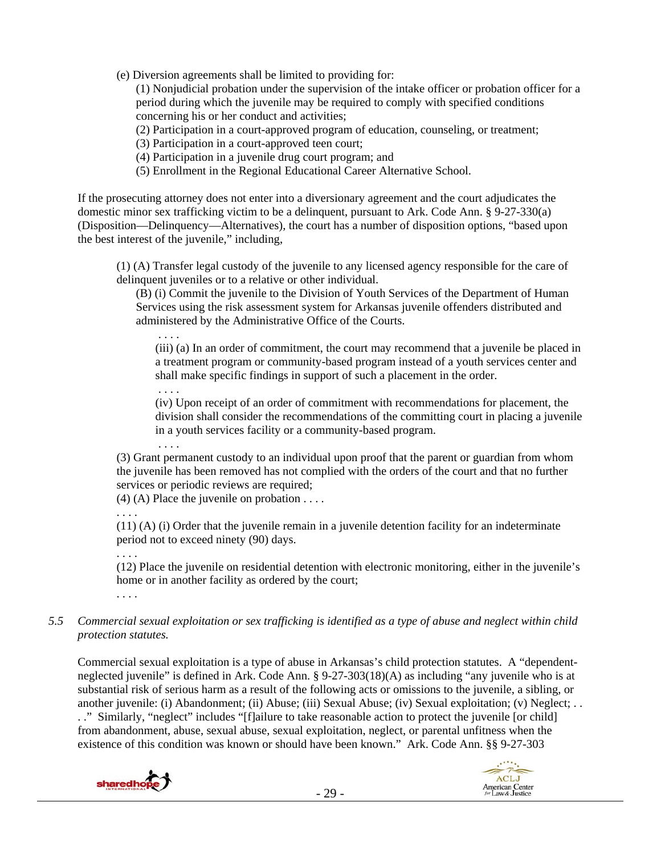(e) Diversion agreements shall be limited to providing for:

(1) Nonjudicial probation under the supervision of the intake officer or probation officer for a period during which the juvenile may be required to comply with specified conditions concerning his or her conduct and activities;

(2) Participation in a court-approved program of education, counseling, or treatment;

(3) Participation in a court-approved teen court;

(4) Participation in a juvenile drug court program; and

(5) Enrollment in the Regional Educational Career Alternative School.

If the prosecuting attorney does not enter into a diversionary agreement and the court adjudicates the domestic minor sex trafficking victim to be a delinquent, pursuant to Ark. Code Ann. § 9-27-330(a) (Disposition—Delinquency—Alternatives), the court has a number of disposition options, "based upon the best interest of the juvenile," including,

(1) (A) Transfer legal custody of the juvenile to any licensed agency responsible for the care of delinquent juveniles or to a relative or other individual.

(B) (i) Commit the juvenile to the Division of Youth Services of the Department of Human Services using the risk assessment system for Arkansas juvenile offenders distributed and administered by the Administrative Office of the Courts.

(iii) (a) In an order of commitment, the court may recommend that a juvenile be placed in a treatment program or community-based program instead of a youth services center and shall make specific findings in support of such a placement in the order.

(iv) Upon receipt of an order of commitment with recommendations for placement, the division shall consider the recommendations of the committing court in placing a juvenile in a youth services facility or a community-based program.

 . . . . (3) Grant permanent custody to an individual upon proof that the parent or guardian from whom the juvenile has been removed has not complied with the orders of the court and that no further services or periodic reviews are required;

(4) (A) Place the juvenile on probation  $\dots$ 

. . . .

. . . .

(11) (A) (i) Order that the juvenile remain in a juvenile detention facility for an indeterminate period not to exceed ninety (90) days.

. . . .

. . . .

(12) Place the juvenile on residential detention with electronic monitoring, either in the juvenile's home or in another facility as ordered by the court;

- . . . .
- *5.5 Commercial sexual exploitation or sex trafficking is identified as a type of abuse and neglect within child protection statutes.*

Commercial sexual exploitation is a type of abuse in Arkansas's child protection statutes. A "dependentneglected juvenile" is defined in Ark. Code Ann. § 9-27-303(18)(A) as including "any juvenile who is at substantial risk of serious harm as a result of the following acts or omissions to the juvenile, a sibling, or another juvenile: (i) Abandonment; (ii) Abuse; (iii) Sexual Abuse; (iv) Sexual exploitation; (v) Neglect; . . . ." Similarly, "neglect" includes "[f]ailure to take reasonable action to protect the juvenile [or child] from abandonment, abuse, sexual abuse, sexual exploitation, neglect, or parental unfitness when the existence of this condition was known or should have been known." Ark. Code Ann. §§ 9-27-303

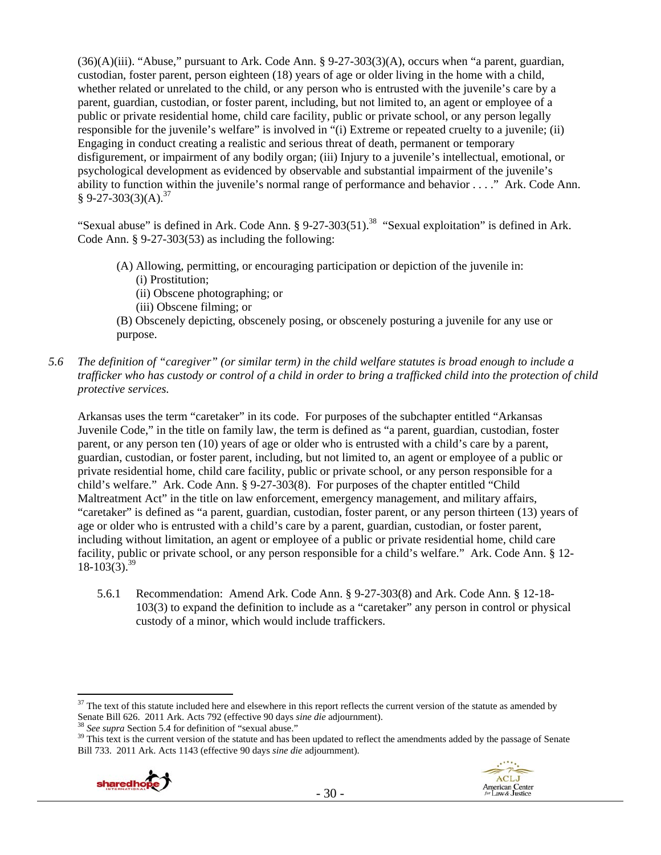(36)(A)(iii). "Abuse," pursuant to Ark. Code Ann. § 9-27-303(3)(A), occurs when "a parent, guardian, custodian, foster parent, person eighteen (18) years of age or older living in the home with a child, whether related or unrelated to the child, or any person who is entrusted with the juvenile's care by a parent, guardian, custodian, or foster parent, including, but not limited to, an agent or employee of a public or private residential home, child care facility, public or private school, or any person legally responsible for the juvenile's welfare" is involved in "(i) Extreme or repeated cruelty to a juvenile; (ii) Engaging in conduct creating a realistic and serious threat of death, permanent or temporary disfigurement, or impairment of any bodily organ; (iii) Injury to a juvenile's intellectual, emotional, or psychological development as evidenced by observable and substantial impairment of the juvenile's ability to function within the juvenile's normal range of performance and behavior . . . ." Ark. Code Ann.  $$9-27-303(3)(A).^{37}$ 

"Sexual abuse" is defined in Ark. Code Ann. § 9-27-303(51).<sup>38</sup> "Sexual exploitation" is defined in Ark. Code Ann. § 9-27-303(53) as including the following:

- (A) Allowing, permitting, or encouraging participation or depiction of the juvenile in: (i) Prostitution;
	- (ii) Obscene photographing; or
	- (iii) Obscene filming; or
- (B) Obscenely depicting, obscenely posing, or obscenely posturing a juvenile for any use or purpose.
- *5.6 The definition of "caregiver" (or similar term) in the child welfare statutes is broad enough to include a trafficker who has custody or control of a child in order to bring a trafficked child into the protection of child protective services.*

Arkansas uses the term "caretaker" in its code. For purposes of the subchapter entitled "Arkansas Juvenile Code," in the title on family law, the term is defined as "a parent, guardian, custodian, foster parent, or any person ten (10) years of age or older who is entrusted with a child's care by a parent, guardian, custodian, or foster parent, including, but not limited to, an agent or employee of a public or private residential home, child care facility, public or private school, or any person responsible for a child's welfare." Ark. Code Ann. § 9-27-303(8). For purposes of the chapter entitled "Child Maltreatment Act" in the title on law enforcement, emergency management, and military affairs, "caretaker" is defined as "a parent, guardian, custodian, foster parent, or any person thirteen (13) years of age or older who is entrusted with a child's care by a parent, guardian, custodian, or foster parent, including without limitation, an agent or employee of a public or private residential home, child care facility, public or private school, or any person responsible for a child's welfare." Ark. Code Ann. § 12-  $18-103(3)$ .<sup>39</sup>

5.6.1 Recommendation: Amend Ark. Code Ann. § 9-27-303(8) and Ark. Code Ann. § 12-18- 103(3) to expand the definition to include as a "caretaker" any person in control or physical custody of a minor, which would include traffickers.

<sup>&</sup>lt;sup>38</sup> See supra Section 5.4 for definition of "sexual abuse."<br><sup>39</sup> This text is the current version of the statute and has been updated to reflect the amendments added by the passage of Senate Bill 733. 2011 Ark. Acts 1143 (effective 90 days *sine die* adjournment).





 $37$  The text of this statute included here and elsewhere in this report reflects the current version of the statute as amended by Senate Bill 626. 2011 Ark. Acts 792 (effective 90 days *sine die* adjournment).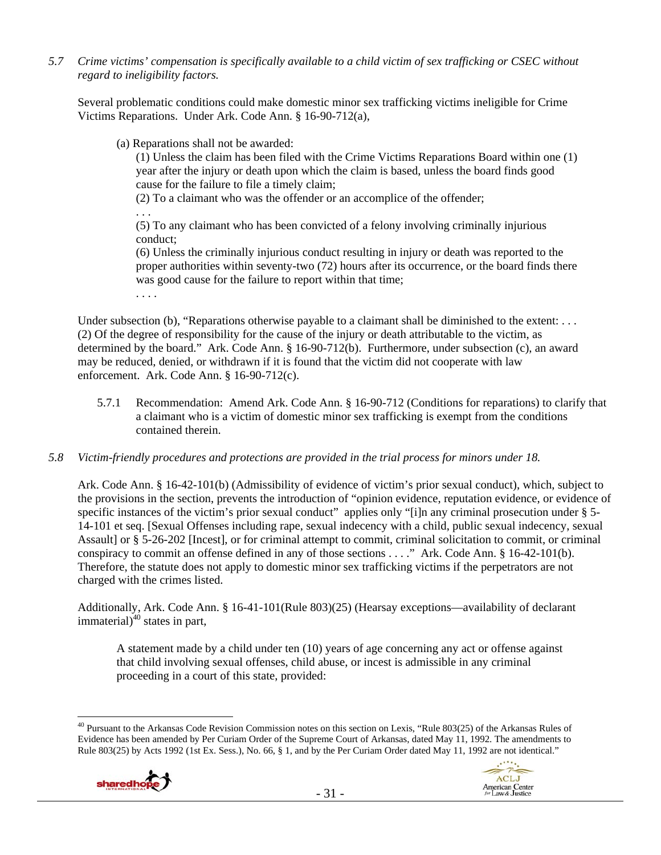*5.7 Crime victims' compensation is specifically available to a child victim of sex trafficking or CSEC without regard to ineligibility factors.* 

Several problematic conditions could make domestic minor sex trafficking victims ineligible for Crime Victims Reparations. Under Ark. Code Ann. § 16-90-712(a),

(a) Reparations shall not be awarded:

(1) Unless the claim has been filed with the Crime Victims Reparations Board within one (1) year after the injury or death upon which the claim is based, unless the board finds good cause for the failure to file a timely claim;

(2) To a claimant who was the offender or an accomplice of the offender;

. . .

(5) To any claimant who has been convicted of a felony involving criminally injurious conduct;

(6) Unless the criminally injurious conduct resulting in injury or death was reported to the proper authorities within seventy-two (72) hours after its occurrence, or the board finds there was good cause for the failure to report within that time;

. . . .

Under subsection (b), "Reparations otherwise payable to a claimant shall be diminished to the extent: . . . (2) Of the degree of responsibility for the cause of the injury or death attributable to the victim, as determined by the board." Ark. Code Ann. § 16-90-712(b). Furthermore, under subsection (c), an award may be reduced, denied, or withdrawn if it is found that the victim did not cooperate with law enforcement. Ark. Code Ann. § 16-90-712(c).

- 5.7.1 Recommendation: Amend Ark. Code Ann. § 16-90-712 (Conditions for reparations) to clarify that a claimant who is a victim of domestic minor sex trafficking is exempt from the conditions contained therein.
- *5.8 Victim-friendly procedures and protections are provided in the trial process for minors under 18.*

Ark. Code Ann. § 16-42-101(b) (Admissibility of evidence of victim's prior sexual conduct), which, subject to the provisions in the section, prevents the introduction of "opinion evidence, reputation evidence, or evidence of specific instances of the victim's prior sexual conduct" applies only "[i]n any criminal prosecution under § 5-14-101 et seq. [Sexual Offenses including rape, sexual indecency with a child, public sexual indecency, sexual Assault] or § 5-26-202 [Incest], or for criminal attempt to commit, criminal solicitation to commit, or criminal conspiracy to commit an offense defined in any of those sections . . . ." Ark. Code Ann. § 16-42-101(b). Therefore, the statute does not apply to domestic minor sex trafficking victims if the perpetrators are not charged with the crimes listed.

Additionally, Ark. Code Ann. § 16-41-101(Rule 803)(25) (Hearsay exceptions—availability of declarant immaterial) $^{40}$  states in part,

A statement made by a child under ten (10) years of age concerning any act or offense against that child involving sexual offenses, child abuse, or incest is admissible in any criminal proceeding in a court of this state, provided:

 $\overline{a}$  $^{40}$  Pursuant to the Arkansas Code Revision Commission notes on this section on Lexis, "Rule 803(25) of the Arkansas Rules of Evidence has been amended by Per Curiam Order of the Supreme Court of Arkansas, dated May 11, 1992. The amendments to Rule 803(25) by Acts 1992 (1st Ex. Sess.), No. 66, § 1, and by the Per Curiam Order dated May 11, 1992 are not identical."



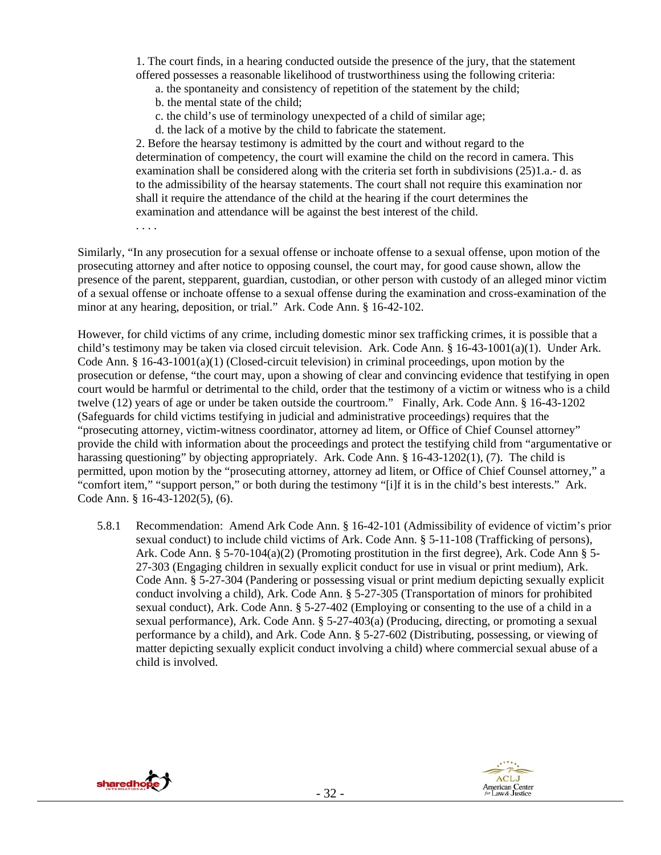1. The court finds, in a hearing conducted outside the presence of the jury, that the statement offered possesses a reasonable likelihood of trustworthiness using the following criteria:

- a. the spontaneity and consistency of repetition of the statement by the child;
- b. the mental state of the child;
- c. the child's use of terminology unexpected of a child of similar age;
- d. the lack of a motive by the child to fabricate the statement.

2. Before the hearsay testimony is admitted by the court and without regard to the determination of competency, the court will examine the child on the record in camera. This examination shall be considered along with the criteria set forth in subdivisions (25)1.a.- d. as to the admissibility of the hearsay statements. The court shall not require this examination nor shall it require the attendance of the child at the hearing if the court determines the examination and attendance will be against the best interest of the child.

. . . .

Similarly, "In any prosecution for a sexual offense or inchoate offense to a sexual offense, upon motion of the prosecuting attorney and after notice to opposing counsel, the court may, for good cause shown, allow the presence of the parent, stepparent, guardian, custodian, or other person with custody of an alleged minor victim of a sexual offense or inchoate offense to a sexual offense during the examination and cross-examination of the minor at any hearing, deposition, or trial." Ark. Code Ann. § 16-42-102.

However, for child victims of any crime, including domestic minor sex trafficking crimes, it is possible that a child's testimony may be taken via closed circuit television. Ark. Code Ann. § 16-43-1001(a)(1). Under Ark. Code Ann. § 16-43-1001(a)(1) (Closed-circuit television) in criminal proceedings, upon motion by the prosecution or defense, "the court may, upon a showing of clear and convincing evidence that testifying in open court would be harmful or detrimental to the child, order that the testimony of a victim or witness who is a child twelve (12) years of age or under be taken outside the courtroom." Finally, Ark. Code Ann. § 16-43-1202 (Safeguards for child victims testifying in judicial and administrative proceedings) requires that the "prosecuting attorney, victim-witness coordinator, attorney ad litem, or Office of Chief Counsel attorney" provide the child with information about the proceedings and protect the testifying child from "argumentative or harassing questioning" by objecting appropriately. Ark. Code Ann. § 16-43-1202(1), (7). The child is permitted, upon motion by the "prosecuting attorney, attorney ad litem, or Office of Chief Counsel attorney," a "comfort item," "support person," or both during the testimony "[i]f it is in the child's best interests." Ark. Code Ann. § 16-43-1202(5), (6).

5.8.1 Recommendation: Amend Ark Code Ann. § 16-42-101 (Admissibility of evidence of victim's prior sexual conduct) to include child victims of Ark. Code Ann. § 5-11-108 (Trafficking of persons), Ark. Code Ann. § 5-70-104(a)(2) (Promoting prostitution in the first degree), Ark. Code Ann § 5- 27-303 (Engaging children in sexually explicit conduct for use in visual or print medium), Ark. Code Ann. § 5-27-304 (Pandering or possessing visual or print medium depicting sexually explicit conduct involving a child), Ark. Code Ann. § 5-27-305 (Transportation of minors for prohibited sexual conduct), Ark. Code Ann. § 5-27-402 (Employing or consenting to the use of a child in a sexual performance), Ark. Code Ann. § 5-27-403(a) (Producing, directing, or promoting a sexual performance by a child), and Ark. Code Ann. § 5-27-602 (Distributing, possessing, or viewing of matter depicting sexually explicit conduct involving a child) where commercial sexual abuse of a child is involved.



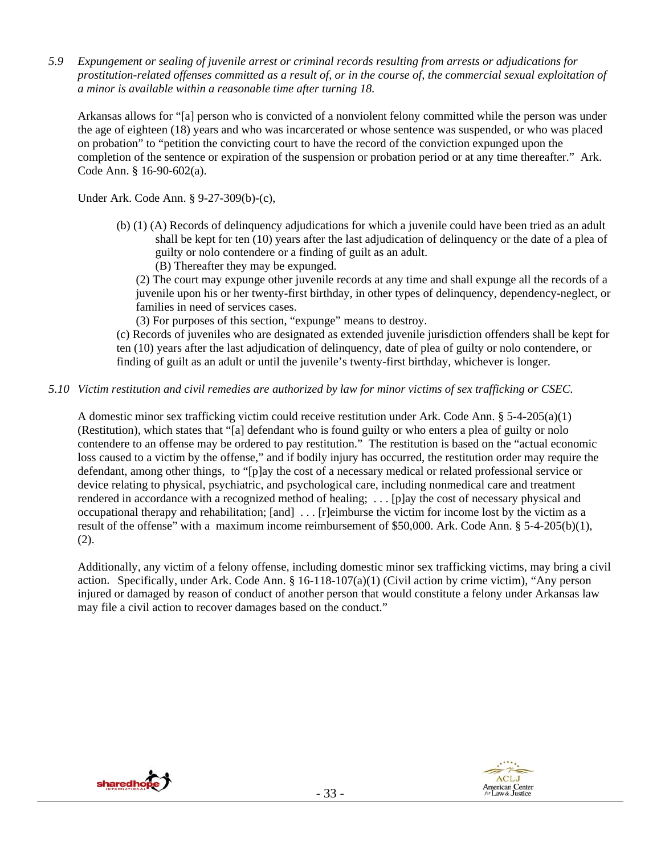*5.9 Expungement or sealing of juvenile arrest or criminal records resulting from arrests or adjudications for prostitution-related offenses committed as a result of, or in the course of, the commercial sexual exploitation of a minor is available within a reasonable time after turning 18.* 

Arkansas allows for "[a] person who is convicted of a nonviolent felony committed while the person was under the age of eighteen (18) years and who was incarcerated or whose sentence was suspended, or who was placed on probation" to "petition the convicting court to have the record of the conviction expunged upon the completion of the sentence or expiration of the suspension or probation period or at any time thereafter." Ark. Code Ann. § 16-90-602(a).

Under Ark. Code Ann. § 9-27-309(b)-(c),

(b) (1) (A) Records of delinquency adjudications for which a juvenile could have been tried as an adult shall be kept for ten (10) years after the last adjudication of delinquency or the date of a plea of guilty or nolo contendere or a finding of guilt as an adult.

(B) Thereafter they may be expunged.

(2) The court may expunge other juvenile records at any time and shall expunge all the records of a juvenile upon his or her twenty-first birthday, in other types of delinquency, dependency-neglect, or families in need of services cases.

(3) For purposes of this section, "expunge" means to destroy.

(c) Records of juveniles who are designated as extended juvenile jurisdiction offenders shall be kept for ten (10) years after the last adjudication of delinquency, date of plea of guilty or nolo contendere, or finding of guilt as an adult or until the juvenile's twenty-first birthday, whichever is longer.

# *5.10 Victim restitution and civil remedies are authorized by law for minor victims of sex trafficking or CSEC.*

A domestic minor sex trafficking victim could receive restitution under Ark. Code Ann. §  $5-4-205(a)(1)$ (Restitution), which states that "[a] defendant who is found guilty or who enters a plea of guilty or nolo contendere to an offense may be ordered to pay restitution." The restitution is based on the "actual economic loss caused to a victim by the offense," and if bodily injury has occurred, the restitution order may require the defendant, among other things, to "[p]ay the cost of a necessary medical or related professional service or device relating to physical, psychiatric, and psychological care, including nonmedical care and treatment rendered in accordance with a recognized method of healing; . . . [p]ay the cost of necessary physical and occupational therapy and rehabilitation; [and] . . . [r]eimburse the victim for income lost by the victim as a result of the offense" with a maximum income reimbursement of \$50,000. Ark. Code Ann. § 5-4-205(b)(1), (2).

Additionally, any victim of a felony offense, including domestic minor sex trafficking victims, may bring a civil action. Specifically, under Ark. Code Ann. § 16-118-107(a)(1) (Civil action by crime victim), "Any person injured or damaged by reason of conduct of another person that would constitute a felony under Arkansas law may file a civil action to recover damages based on the conduct."



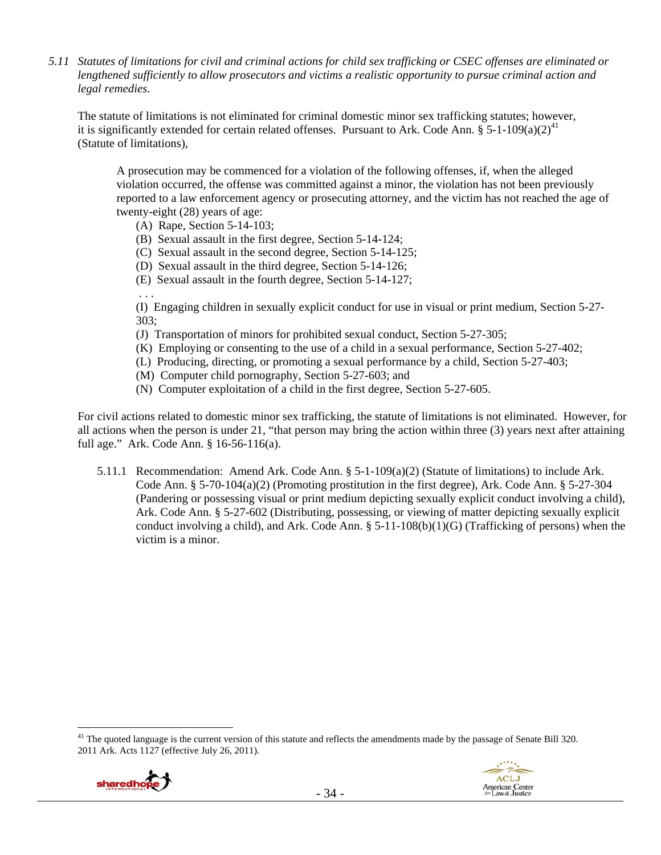*5.11 Statutes of limitations for civil and criminal actions for child sex trafficking or CSEC offenses are eliminated or lengthened sufficiently to allow prosecutors and victims a realistic opportunity to pursue criminal action and legal remedies.* 

The statute of limitations is not eliminated for criminal domestic minor sex trafficking statutes; however, it is significantly extended for certain related offenses. Pursuant to Ark. Code Ann. § 5-1-109(a)(2)<sup>41</sup> (Statute of limitations),

A prosecution may be commenced for a violation of the following offenses, if, when the alleged violation occurred, the offense was committed against a minor, the violation has not been previously reported to a law enforcement agency or prosecuting attorney, and the victim has not reached the age of twenty-eight (28) years of age:

- (A) Rape, Section 5-14-103;
- (B) Sexual assault in the first degree, Section 5-14-124;
- (C) Sexual assault in the second degree, Section 5-14-125;
- (D) Sexual assault in the third degree, Section 5-14-126;
- (E) Sexual assault in the fourth degree, Section 5-14-127;

. . .

(I) Engaging children in sexually explicit conduct for use in visual or print medium, Section 5-27- 303;

- (J) Transportation of minors for prohibited sexual conduct, Section 5-27-305;
- (K) Employing or consenting to the use of a child in a sexual performance, Section 5-27-402;
- (L) Producing, directing, or promoting a sexual performance by a child, Section 5-27-403;
- (M) Computer child pornography, Section 5-27-603; and
- (N) Computer exploitation of a child in the first degree, Section 5-27-605.

For civil actions related to domestic minor sex trafficking, the statute of limitations is not eliminated. However, for all actions when the person is under 21, "that person may bring the action within three (3) years next after attaining full age." Ark. Code Ann. § 16-56-116(a).

5.11.1 Recommendation: Amend Ark. Code Ann. § 5-1-109(a)(2) (Statute of limitations) to include Ark. Code Ann. § 5-70-104(a)(2) (Promoting prostitution in the first degree), Ark. Code Ann. § 5-27-304 (Pandering or possessing visual or print medium depicting sexually explicit conduct involving a child), Ark. Code Ann. § 5-27-602 (Distributing, possessing, or viewing of matter depicting sexually explicit conduct involving a child), and Ark. Code Ann.  $\S$  5-11-108(b)(1)(G) (Trafficking of persons) when the victim is a minor.

<sup>&</sup>lt;sup>41</sup> The quoted language is the current version of this statute and reflects the amendments made by the passage of Senate Bill 320. 2011 Ark. Acts 1127 (effective July 26, 2011).

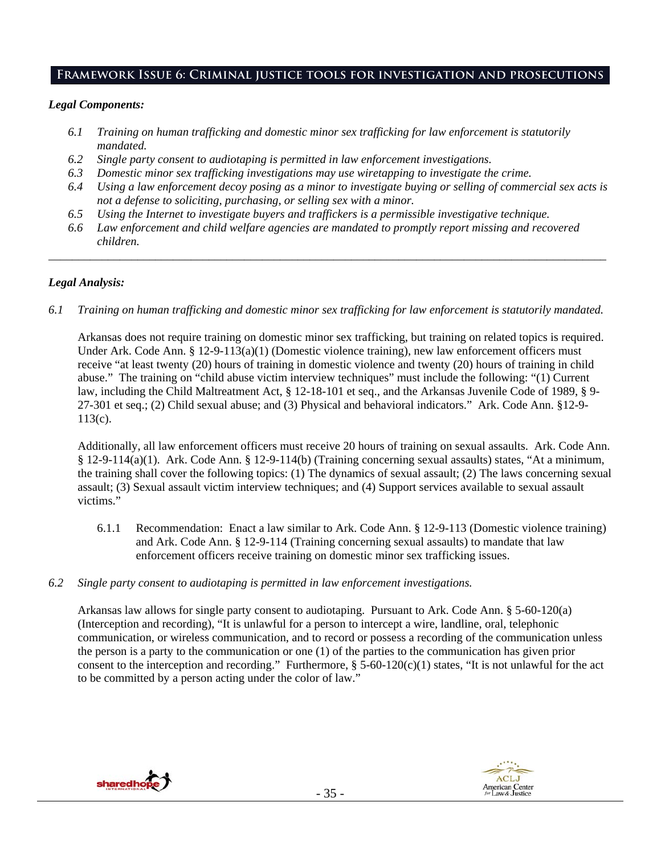# **Framework Issue 6: Criminal justice tools for investigation and prosecutions**

#### *Legal Components:*

- *6.1 Training on human trafficking and domestic minor sex trafficking for law enforcement is statutorily mandated.*
- *6.2 Single party consent to audiotaping is permitted in law enforcement investigations.*
- *6.3 Domestic minor sex trafficking investigations may use wiretapping to investigate the crime.*
- *6.4 Using a law enforcement decoy posing as a minor to investigate buying or selling of commercial sex acts is not a defense to soliciting, purchasing, or selling sex with a minor.*
- *6.5 Using the Internet to investigate buyers and traffickers is a permissible investigative technique.*
- *6.6 Law enforcement and child welfare agencies are mandated to promptly report missing and recovered children.*

*\_\_\_\_\_\_\_\_\_\_\_\_\_\_\_\_\_\_\_\_\_\_\_\_\_\_\_\_\_\_\_\_\_\_\_\_\_\_\_\_\_\_\_\_\_\_\_\_\_\_\_\_\_\_\_\_\_\_\_\_\_\_\_\_\_\_\_\_\_\_\_\_\_\_\_\_\_\_\_\_\_\_\_\_\_\_\_\_\_\_\_\_\_\_* 

## *Legal Analysis:*

*6.1 Training on human trafficking and domestic minor sex trafficking for law enforcement is statutorily mandated.*

Arkansas does not require training on domestic minor sex trafficking, but training on related topics is required. Under Ark. Code Ann. § 12-9-113(a)(1) (Domestic violence training), new law enforcement officers must receive "at least twenty (20) hours of training in domestic violence and twenty (20) hours of training in child abuse." The training on "child abuse victim interview techniques" must include the following: "(1) Current law, including the Child Maltreatment Act, § 12-18-101 et seq., and the Arkansas Juvenile Code of 1989, § 9- 27-301 et seq.; (2) Child sexual abuse; and (3) Physical and behavioral indicators." Ark. Code Ann. §12-9- 113(c).

Additionally, all law enforcement officers must receive 20 hours of training on sexual assaults. Ark. Code Ann. § 12-9-114(a)(1). Ark. Code Ann. § 12-9-114(b) (Training concerning sexual assaults) states, "At a minimum, the training shall cover the following topics: (1) The dynamics of sexual assault; (2) The laws concerning sexual assault; (3) Sexual assault victim interview techniques; and (4) Support services available to sexual assault victims."

- 6.1.1 Recommendation: Enact a law similar to Ark. Code Ann. § 12-9-113 (Domestic violence training) and Ark. Code Ann. § 12-9-114 (Training concerning sexual assaults) to mandate that law enforcement officers receive training on domestic minor sex trafficking issues.
- *6.2 Single party consent to audiotaping is permitted in law enforcement investigations.*

Arkansas law allows for single party consent to audiotaping. Pursuant to Ark. Code Ann. § 5-60-120(a) (Interception and recording), "It is unlawful for a person to intercept a wire, landline, oral, telephonic communication, or wireless communication, and to record or possess a recording of the communication unless the person is a party to the communication or one (1) of the parties to the communication has given prior consent to the interception and recording." Furthermore,  $\S$  5-60-120(c)(1) states, "It is not unlawful for the act to be committed by a person acting under the color of law."



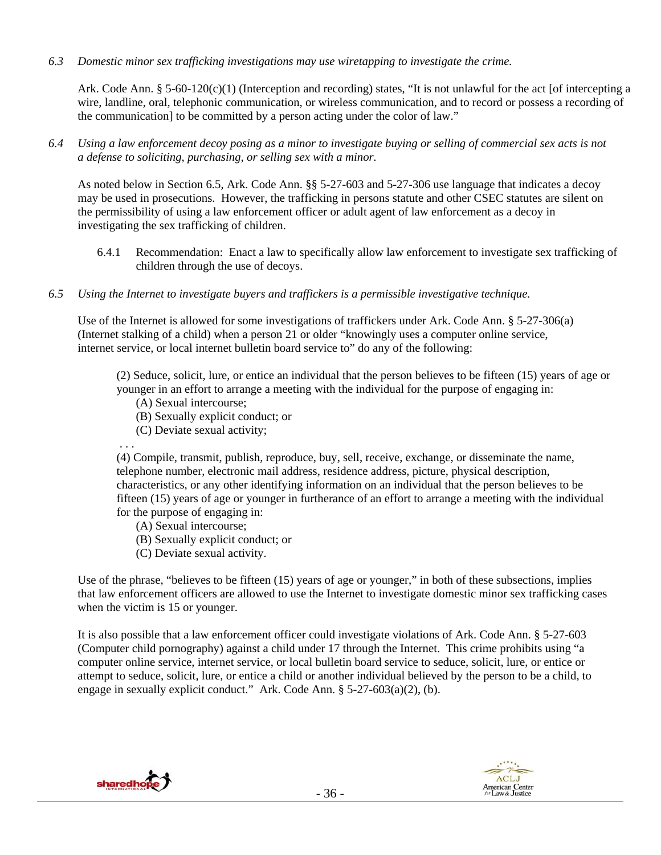*6.3 Domestic minor sex trafficking investigations may use wiretapping to investigate the crime.* 

Ark. Code Ann. § 5-60-120(c)(1) (Interception and recording) states, "It is not unlawful for the act [of intercepting a wire, landline, oral, telephonic communication, or wireless communication, and to record or possess a recording of the communication] to be committed by a person acting under the color of law."

*6.4 Using a law enforcement decoy posing as a minor to investigate buying or selling of commercial sex acts is not a defense to soliciting, purchasing, or selling sex with a minor.* 

As noted below in Section 6.5, Ark. Code Ann. §§ 5-27-603 and 5-27-306 use language that indicates a decoy may be used in prosecutions. However, the trafficking in persons statute and other CSEC statutes are silent on the permissibility of using a law enforcement officer or adult agent of law enforcement as a decoy in investigating the sex trafficking of children.

- 6.4.1 Recommendation: Enact a law to specifically allow law enforcement to investigate sex trafficking of children through the use of decoys.
- *6.5 Using the Internet to investigate buyers and traffickers is a permissible investigative technique.*

Use of the Internet is allowed for some investigations of traffickers under Ark. Code Ann. § 5-27-306(a) (Internet stalking of a child) when a person 21 or older "knowingly uses a computer online service, internet service, or local internet bulletin board service to" do any of the following:

(2) Seduce, solicit, lure, or entice an individual that the person believes to be fifteen (15) years of age or younger in an effort to arrange a meeting with the individual for the purpose of engaging in:

- (A) Sexual intercourse;
- (B) Sexually explicit conduct; or
- (C) Deviate sexual activity;
- . . .

(4) Compile, transmit, publish, reproduce, buy, sell, receive, exchange, or disseminate the name, telephone number, electronic mail address, residence address, picture, physical description, characteristics, or any other identifying information on an individual that the person believes to be fifteen (15) years of age or younger in furtherance of an effort to arrange a meeting with the individual for the purpose of engaging in:

- (A) Sexual intercourse;
- (B) Sexually explicit conduct; or
- (C) Deviate sexual activity.

Use of the phrase, "believes to be fifteen (15) years of age or younger," in both of these subsections, implies that law enforcement officers are allowed to use the Internet to investigate domestic minor sex trafficking cases when the victim is 15 or younger.

It is also possible that a law enforcement officer could investigate violations of Ark. Code Ann. § 5-27-603 (Computer child pornography) against a child under 17 through the Internet. This crime prohibits using "a computer online service, internet service, or local bulletin board service to seduce, solicit, lure, or entice or attempt to seduce, solicit, lure, or entice a child or another individual believed by the person to be a child, to engage in sexually explicit conduct." Ark. Code Ann. § 5-27-603(a)(2), (b).